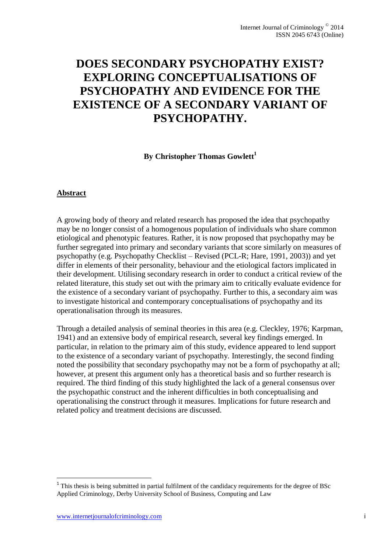# **DOES SECONDARY PSYCHOPATHY EXIST? EXPLORING CONCEPTUALISATIONS OF PSYCHOPATHY AND EVIDENCE FOR THE EXISTENCE OF A SECONDARY VARIANT OF PSYCHOPATHY.**

### **By Christopher Thomas Gowlett<sup>1</sup>**

#### **Abstract**

A growing body of theory and related research has proposed the idea that psychopathy may be no longer consist of a homogenous population of individuals who share common etiological and phenotypic features. Rather, it is now proposed that psychopathy may be further segregated into primary and secondary variants that score similarly on measures of psychopathy (e.g. Psychopathy Checklist – Revised (PCL-R; Hare, 1991, 2003)) and yet differ in elements of their personality, behaviour and the etiological factors implicated in their development. Utilising secondary research in order to conduct a critical review of the related literature, this study set out with the primary aim to critically evaluate evidence for the existence of a secondary variant of psychopathy. Further to this, a secondary aim was to investigate historical and contemporary conceptualisations of psychopathy and its operationalisation through its measures.

Through a detailed analysis of seminal theories in this area (e.g. Cleckley, 1976; Karpman, 1941) and an extensive body of empirical research, several key findings emerged. In particular, in relation to the primary aim of this study, evidence appeared to lend support to the existence of a secondary variant of psychopathy. Interestingly, the second finding noted the possibility that secondary psychopathy may not be a form of psychopathy at all; however, at present this argument only has a theoretical basis and so further research is required. The third finding of this study highlighted the lack of a general consensus over the psychopathic construct and the inherent difficulties in both conceptualising and operationalising the construct through it measures. Implications for future research and related policy and treatment decisions are discussed.

l

 $1$  This thesis is being submitted in partial fulfilment of the candidacy requirements for the degree of BSc Applied Criminology, Derby University School of Business, Computing and Law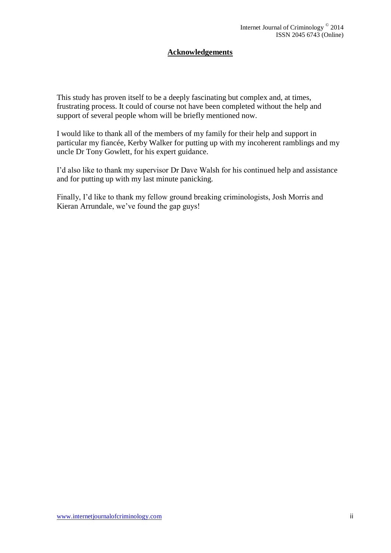### **Acknowledgements**

This study has proven itself to be a deeply fascinating but complex and, at times, frustrating process. It could of course not have been completed without the help and support of several people whom will be briefly mentioned now.

I would like to thank all of the members of my family for their help and support in particular my fiancée, Kerby Walker for putting up with my incoherent ramblings and my uncle Dr Tony Gowlett, for his expert guidance.

I'd also like to thank my supervisor Dr Dave Walsh for his continued help and assistance and for putting up with my last minute panicking.

Finally, I'd like to thank my fellow ground breaking criminologists, Josh Morris and Kieran Arrundale, we've found the gap guys!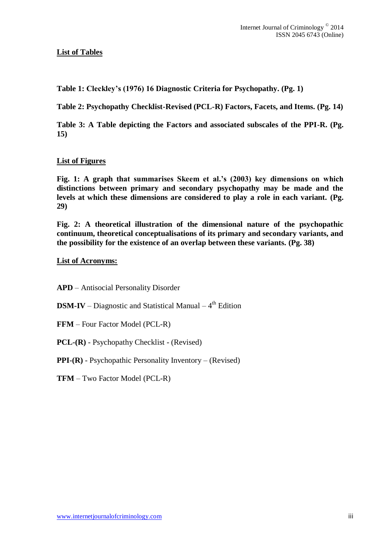### **List of Tables**

**Table 1: Cleckley's (1976) 16 Diagnostic Criteria for Psychopathy. (Pg. 1)**

**Table 2: Psychopathy Checklist-Revised (PCL-R) Factors, Facets, and Items. (Pg. 14)**

**Table 3: A Table depicting the Factors and associated subscales of the PPI-R. (Pg. 15)**

### **List of Figures**

**Fig. 1: A graph that summarises Skeem et al.'s (2003) key dimensions on which distinctions between primary and secondary psychopathy may be made and the levels at which these dimensions are considered to play a role in each variant. (Pg. 29)**

**Fig. 2: A theoretical illustration of the dimensional nature of the psychopathic continuum, theoretical conceptualisations of its primary and secondary variants, and the possibility for the existence of an overlap between these variants. (Pg. 38)**

#### **List of Acronyms:**

**APD** – Antisocial Personality Disorder

**DSM-IV** – Diagnostic and Statistical Manual – 4<sup>th</sup> Edition

- **FFM** Four Factor Model (PCL-R)
- **PCL-(R)** Psychopathy Checklist (Revised)
- **PPI-(R)** Psychopathic Personality Inventory (Revised)
- **TFM** Two Factor Model (PCL-R)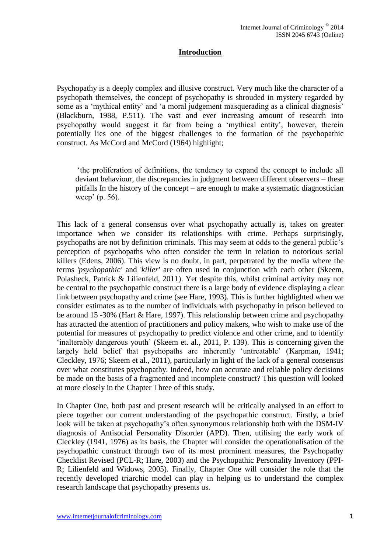### **Introduction**

Psychopathy is a deeply complex and illusive construct. Very much like the character of a psychopath themselves, the concept of psychopathy is shrouded in mystery regarded by some as a 'mythical entity' and 'a moral judgement masquerading as a clinical diagnosis' (Blackburn, 1988, P.511). The vast and ever increasing amount of research into psychopathy would suggest it far from being a 'mythical entity', however, therein potentially lies one of the biggest challenges to the formation of the psychopathic construct. As McCord and McCord (1964) highlight;

'the proliferation of definitions, the tendency to expand the concept to include all deviant behaviour, the discrepancies in judgment between different observers – these pitfalls In the history of the concept – are enough to make a systematic diagnostician weep' (p. 56).

This lack of a general consensus over what psychopathy actually is, takes on greater importance when we consider its relationships with crime. Perhaps surprisingly, psychopaths are not by definition criminals. This may seem at odds to the general public's perception of psychopaths who often consider the term in relation to notorious serial killers (Edens, 2006). This view is no doubt, in part, perpetrated by the media where the terms '*psychopathic'* and '*killer'* are often used in conjunction with each other (Skeem, Polasheck, Patrick & Lilienfeld, 2011). Yet despite this, whilst criminal activity may not be central to the psychopathic construct there is a large body of evidence displaying a clear link between psychopathy and crime (see Hare, 1993). This is further highlighted when we consider estimates as to the number of individuals with psychopathy in prison believed to be around 15 -30% (Hart & Hare, 1997). This relationship between crime and psychopathy has attracted the attention of practitioners and policy makers, who wish to make use of the potential for measures of psychopathy to predict violence and other crime, and to identify 'inalterably dangerous youth' (Skeem et. al., 2011, P. 139). This is concerning given the largely held belief that psychopaths are inherently 'untreatable' (Karpman, 1941; Cleckley, 1976; Skeem et al., 2011), particularly in light of the lack of a general consensus over what constitutes psychopathy. Indeed, how can accurate and reliable policy decisions be made on the basis of a fragmented and incomplete construct? This question will looked at more closely in the Chapter Three of this study.

In Chapter One, both past and present research will be critically analysed in an effort to piece together our current understanding of the psychopathic construct. Firstly, a brief look will be taken at psychopathy's often synonymous relationship both with the DSM-IV diagnosis of Antisocial Personality Disorder (APD). Then, utilising the early work of Cleckley (1941, 1976) as its basis, the Chapter will consider the operationalisation of the psychopathic construct through two of its most prominent measures, the Psychopathy Checklist Revised (PCL-R; Hare, 2003) and the Psychopathic Personality Inventory (PPI-R; Lilienfeld and Widows, 2005). Finally, Chapter One will consider the role that the recently developed triarchic model can play in helping us to understand the complex research landscape that psychopathy presents us.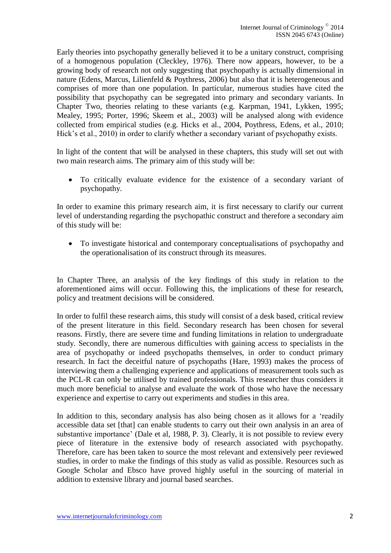Early theories into psychopathy generally believed it to be a unitary construct, comprising of a homogenous population (Cleckley, 1976). There now appears, however, to be a growing body of research not only suggesting that psychopathy is actually dimensional in nature (Edens, Marcus, Lilienfeld & Poythress, 2006) but also that it is heterogeneous and comprises of more than one population. In particular, numerous studies have cited the possibility that psychopathy can be segregated into primary and secondary variants. In Chapter Two, theories relating to these variants (e.g. Karpman, 1941, Lykken, 1995; Mealey, 1995; Porter, 1996; Skeem et al., 2003) will be analysed along with evidence collected from empirical studies (e.g. Hicks et al., 2004, Poythress, Edens, et al., 2010; Hick's et al., 2010) in order to clarify whether a secondary variant of psychopathy exists.

In light of the content that will be analysed in these chapters, this study will set out with two main research aims. The primary aim of this study will be:

 To critically evaluate evidence for the existence of a secondary variant of psychopathy.

In order to examine this primary research aim, it is first necessary to clarify our current level of understanding regarding the psychopathic construct and therefore a secondary aim of this study will be:

 To investigate historical and contemporary conceptualisations of psychopathy and the operationalisation of its construct through its measures.

In Chapter Three, an analysis of the key findings of this study in relation to the aforementioned aims will occur. Following this, the implications of these for research, policy and treatment decisions will be considered.

In order to fulfil these research aims, this study will consist of a desk based, critical review of the present literature in this field. Secondary research has been chosen for several reasons. Firstly, there are severe time and funding limitations in relation to undergraduate study. Secondly, there are numerous difficulties with gaining access to specialists in the area of psychopathy or indeed psychopaths themselves, in order to conduct primary research. In fact the deceitful nature of psychopaths (Hare, 1993) makes the process of interviewing them a challenging experience and applications of measurement tools such as the PCL-R can only be utilised by trained professionals. This researcher thus considers it much more beneficial to analyse and evaluate the work of those who have the necessary experience and expertise to carry out experiments and studies in this area.

In addition to this, secondary analysis has also being chosen as it allows for a 'readily accessible data set [that] can enable students to carry out their own analysis in an area of substantive importance' (Dale et al, 1988, P. 3). Clearly, it is not possible to review every piece of literature in the extensive body of research associated with psychopathy. Therefore, care has been taken to source the most relevant and extensively peer reviewed studies, in order to make the findings of this study as valid as possible. Resources such as Google Scholar and Ebsco have proved highly useful in the sourcing of material in addition to extensive library and journal based searches.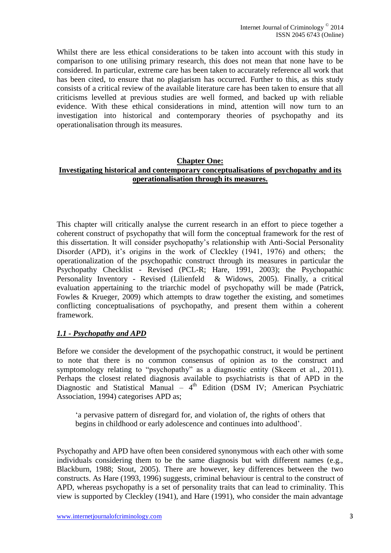Whilst there are less ethical considerations to be taken into account with this study in comparison to one utilising primary research, this does not mean that none have to be considered. In particular, extreme care has been taken to accurately reference all work that has been cited, to ensure that no plagiarism has occurred. Further to this, as this study consists of a critical review of the available literature care has been taken to ensure that all criticisms levelled at previous studies are well formed, and backed up with reliable evidence. With these ethical considerations in mind, attention will now turn to an investigation into historical and contemporary theories of psychopathy and its operationalisation through its measures.

#### **Chapter One: Investigating historical and contemporary conceptualisations of psychopathy and its operationalisation through its measures.**

This chapter will critically analyse the current research in an effort to piece together a coherent construct of psychopathy that will form the conceptual framework for the rest of this dissertation. It will consider psychopathy's relationship with Anti-Social Personality Disorder (APD), it's origins in the work of Cleckley (1941, 1976) and others; the operationalization of the psychopathic construct through its measures in particular the Psychopathy Checklist - Revised (PCL-R; Hare, 1991, 2003); the Psychopathic Personality Inventory - Revised (Lilienfeld & Widows, 2005). Finally, a critical evaluation appertaining to the triarchic model of psychopathy will be made (Patrick, Fowles & Krueger, 2009) which attempts to draw together the existing, and sometimes conflicting conceptualisations of psychopathy, and present them within a coherent framework.

### *1.1 - Psychopathy and APD*

Before we consider the development of the psychopathic construct, it would be pertinent to note that there is no common consensus of opinion as to the construct and symptomology relating to "psychopathy" as a diagnostic entity (Skeem et al., 2011). Perhaps the closest related diagnosis available to psychiatrists is that of APD in the Diagnostic and Statistical Manual –  $4<sup>th</sup>$  Edition (DSM IV; American Psychiatric Association, 1994) categorises APD as;

'a pervasive pattern of disregard for, and violation of, the rights of others that begins in childhood or early adolescence and continues into adulthood'.

Psychopathy and APD have often been considered synonymous with each other with some individuals considering them to be the same diagnosis but with different names (e.g., Blackburn, 1988; Stout, 2005). There are however, key differences between the two constructs. As Hare (1993, 1996) suggests, criminal behaviour is central to the construct of APD, whereas psychopathy is a set of personality traits that can lead to criminality. This view is supported by Cleckley (1941), and Hare (1991), who consider the main advantage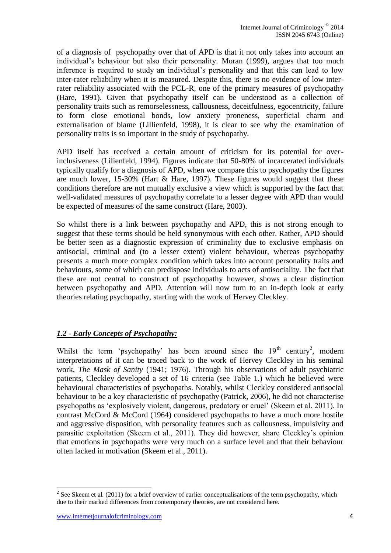of a diagnosis of psychopathy over that of APD is that it not only takes into account an individual's behaviour but also their personality. Moran (1999), argues that too much inference is required to study an individual's personality and that this can lead to low inter-rater reliability when it is measured. Despite this, there is no evidence of low interrater reliability associated with the PCL-R, one of the primary measures of psychopathy (Hare, 1991). Given that psychopathy itself can be understood as a collection of personality traits such as remorselessness, callousness, deceitfulness, egocentricity, failure to form close emotional bonds, low anxiety proneness, superficial charm and externalisation of blame (Lillienfeld, 1998), it is clear to see why the examination of personality traits is so important in the study of psychopathy.

APD itself has received a certain amount of criticism for its potential for overinclusiveness (Lilienfeld, 1994). Figures indicate that 50-80% of incarcerated individuals typically qualify for a diagnosis of APD, when we compare this to psychopathy the figures are much lower, 15-30% (Hart & Hare, 1997). These figures would suggest that these conditions therefore are not mutually exclusive a view which is supported by the fact that well-validated measures of psychopathy correlate to a lesser degree with APD than would be expected of measures of the same construct (Hare, 2003).

So whilst there is a link between psychopathy and APD, this is not strong enough to suggest that these terms should be held synonymous with each other. Rather, APD should be better seen as a diagnostic expression of criminality due to exclusive emphasis on antisocial, criminal and (to a lesser extent) violent behaviour, whereas psychopathy presents a much more complex condition which takes into account personality traits and behaviours, some of which can predispose individuals to acts of antisociality. The fact that these are not central to construct of psychopathy however, shows a clear distinction between psychopathy and APD. Attention will now turn to an in-depth look at early theories relating psychopathy, starting with the work of Hervey Cleckley.

### *1.2 - Early Concepts of Psychopathy:*

Whilst the term 'psychopathy' has been around since the  $19<sup>th</sup>$  century<sup>2</sup>, modern interpretations of it can be traced back to the work of Hervey Cleckley in his seminal work, *The Mask of Sanity* (1941; 1976). Through his observations of adult psychiatric patients, Cleckley developed a set of 16 criteria (see Table 1.) which he believed were behavioural characteristics of psychopaths. Notably, whilst Cleckley considered antisocial behaviour to be a key characteristic of psychopathy (Patrick, 2006), he did not characterise psychopaths as 'explosively violent, dangerous, predatory or cruel' (Skeem et al. 2011). In contrast McCord & McCord (1964) considered psychopaths to have a much more hostile and aggressive disposition, with personality features such as callousness, impulsivity and parasitic exploitation (Skeem et al., 2011). They did however, share Cleckley's opinion that emotions in psychopaths were very much on a surface level and that their behaviour often lacked in motivation (Skeem et al., 2011).

 $\overline{a}$ 

<sup>&</sup>lt;sup>2</sup> See Skeem et al. (2011) for a brief overview of earlier conceptualisations of the term psychopathy, which due to their marked differences from contemporary theories, are not considered here.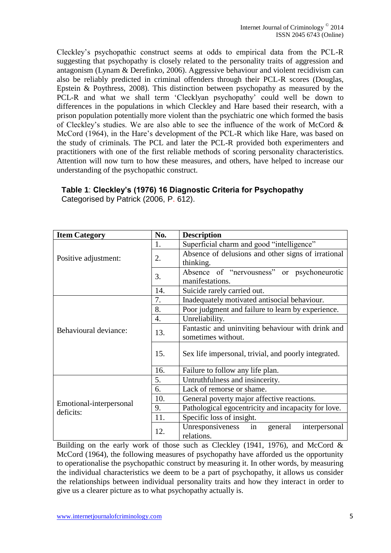Cleckley's psychopathic construct seems at odds to empirical data from the PCL-R suggesting that psychopathy is closely related to the personality traits of aggression and antagonism (Lynam & Derefinko, 2006). Aggressive behaviour and violent recidivism can also be reliably predicted in criminal offenders through their PCL-R scores (Douglas, Epstein & Poythress, 2008). This distinction between psychopathy as measured by the PCL-R and what we shall term 'Clecklyan psychopathy' could well be down to differences in the populations in which Cleckley and Hare based their research, with a prison population potentially more violent than the psychiatric one which formed the basis of Cleckley's studies. We are also able to see the influence of the work of McCord & McCord (1964), in the Hare's development of the PCL-R which like Hare, was based on the study of criminals. The PCL and later the PCL-R provided both experimenters and practitioners with one of the first reliable methods of scoring personality characteristics. Attention will now turn to how these measures, and others, have helped to increase our understanding of the psychopathic construct.

| <b>Item Category</b>                 | No.              | <b>Description</b>                                               |  |  |
|--------------------------------------|------------------|------------------------------------------------------------------|--|--|
| Positive adjustment:                 | 1.               | Superficial charm and good "intelligence"                        |  |  |
|                                      | 2.               | Absence of delusions and other signs of irrational               |  |  |
|                                      |                  | thinking.                                                        |  |  |
|                                      | 3.               | Absence of "nervousness" or psychoneurotic                       |  |  |
|                                      |                  | manifestations.                                                  |  |  |
|                                      | 14.              | Suicide rarely carried out.                                      |  |  |
| Behavioural deviance:                | 7.               | Inadequately motivated antisocial behaviour.                     |  |  |
|                                      | 8.               | Poor judgment and failure to learn by experience.                |  |  |
|                                      | $\overline{4}$ . | Unreliability.                                                   |  |  |
|                                      | 13.              | Fantastic and uninviting behaviour with drink and                |  |  |
|                                      |                  | sometimes without.                                               |  |  |
|                                      | 15.              | Sex life impersonal, trivial, and poorly integrated.             |  |  |
|                                      | 16.              | Failure to follow any life plan.                                 |  |  |
| Emotional-interpersonal<br>deficits: | 5.               | Untruthfulness and insincerity.                                  |  |  |
|                                      | 6.               | Lack of remorse or shame.                                        |  |  |
|                                      | 10.              | General poverty major affective reactions.                       |  |  |
|                                      | 9.               | Pathological egocentricity and incapacity for love.              |  |  |
|                                      | 11.              | Specific loss of insight.                                        |  |  |
|                                      | 12.              | Unresponsiveness<br>in<br>general<br>interpersonal<br>relations. |  |  |

**Table 1**: **Cleckley's (1976) 16 Diagnostic Criteria for Psychopathy** Categorised by Patrick (2006, P. 612).

Building on the early work of those such as Cleckley (1941, 1976), and McCord  $\&$ McCord (1964), the following measures of psychopathy have afforded us the opportunity to operationalise the psychopathic construct by measuring it. In other words, by measuring the individual characteristics we deem to be a part of psychopathy, it allows us consider the relationships between individual personality traits and how they interact in order to give us a clearer picture as to what psychopathy actually is.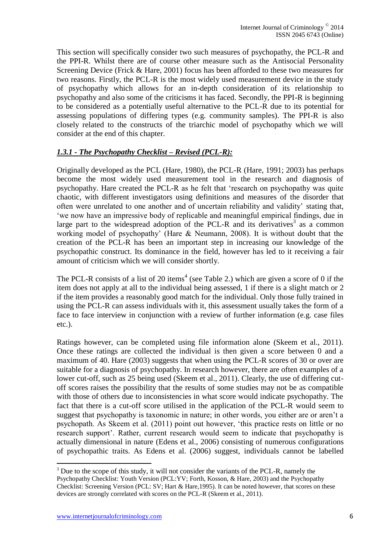This section will specifically consider two such measures of psychopathy, the PCL-R and the PPI-R. Whilst there are of course other measure such as the Antisocial Personality Screening Device (Frick & Hare, 2001) focus has been afforded to these two measures for two reasons. Firstly, the PCL-R is the most widely used measurement device in the study of psychopathy which allows for an in-depth consideration of its relationship to psychopathy and also some of the criticisms it has faced. Secondly, the PPI-R is beginning to be considered as a potentially useful alternative to the PCL-R due to its potential for assessing populations of differing types (e.g. community samples). The PPI-R is also closely related to the constructs of the triarchic model of psychopathy which we will consider at the end of this chapter.

# *1.3.1 - The Psychopathy Checklist – Revised (PCL-R):*

Originally developed as the PCL (Hare, 1980), the PCL-R (Hare, 1991; 2003) has perhaps become the most widely used measurement tool in the research and diagnosis of psychopathy. Hare created the PCL-R as he felt that 'research on psychopathy was quite chaotic, with different investigators using definitions and measures of the disorder that often were unrelated to one another and of uncertain reliability and validity' stating that, 'we now have an impressive body of replicable and meaningful empirical findings, due in large part to the widespread adoption of the PCL-R and its derivatives<sup>3</sup> as a common working model of psychopathy' (Hare & Neumann, 2008). It is without doubt that the creation of the PCL-R has been an important step in increasing our knowledge of the psychopathic construct. Its dominance in the field, however has led to it receiving a fair amount of criticism which we will consider shortly.

The PCL-R consists of a list of 20 items<sup>4</sup> (see Table 2.) which are given a score of 0 if the item does not apply at all to the individual being assessed, 1 if there is a slight match or 2 if the item provides a reasonably good match for the individual. Only those fully trained in using the PCL-R can assess individuals with it, this assessment usually takes the form of a face to face interview in conjunction with a review of further information (e.g. case files etc.).

Ratings however, can be completed using file information alone (Skeem et al., 2011). Once these ratings are collected the individual is then given a score between 0 and a maximum of 40. Hare (2003) suggests that when using the PCL-R scores of 30 or over are suitable for a diagnosis of psychopathy. In research however, there are often examples of a lower cut-off, such as 25 being used (Skeem et al., 2011). Clearly, the use of differing cutoff scores raises the possibility that the results of some studies may not be as compatible with those of others due to inconsistencies in what score would indicate psychopathy. The fact that there is a cut-off score utilised in the application of the PCL-R would seem to suggest that psychopathy is taxonomic in nature; in other words, you either are or aren't a psychopath. As Skeem et al. (2011) point out however, 'this practice rests on little or no research support'. Rather, current research would seem to indicate that psychopathy is actually dimensional in nature (Edens et al., 2006) consisting of numerous configurations of psychopathic traits. As Edens et al. (2006) suggest, individuals cannot be labelled

 $\overline{a}$ 

<sup>&</sup>lt;sup>3</sup> Due to the scope of this study, it will not consider the variants of the PCL-R, namely the

Psychopathy Checklist: Youth Version (PCL:YV; Forth, Kosson, & Hare, 2003) and the Psychopathy Checklist: Screening Version (PCL: SV; Hart & Hare,1995). It can be noted however, that scores on these devices are strongly correlated with scores on the PCL-R (Skeem et al., 2011).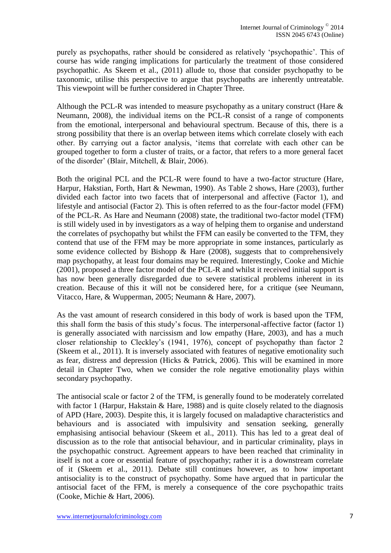purely as psychopaths, rather should be considered as relatively 'psychopathic'. This of course has wide ranging implications for particularly the treatment of those considered psychopathic. As Skeem et al., (2011) allude to, those that consider psychopathy to be taxonomic, utilise this perspective to argue that psychopaths are inherently untreatable. This viewpoint will be further considered in Chapter Three.

Although the PCL-R was intended to measure psychopathy as a unitary construct (Hare & Neumann, 2008), the individual items on the PCL-R consist of a range of components from the emotional, interpersonal and behavioural spectrum. Because of this, there is a strong possibility that there is an overlap between items which correlate closely with each other. By carrying out a factor analysis, 'items that correlate with each other can be grouped together to form a cluster of traits, or a factor, that refers to a more general facet of the disorder' (Blair, Mitchell, & Blair, 2006).

Both the original PCL and the PCL-R were found to have a two-factor structure (Hare, Harpur, Hakstian, Forth, Hart & Newman, 1990). As Table 2 shows, Hare (2003), further divided each factor into two facets that of interpersonal and affective (Factor 1), and lifestyle and antisocial (Factor 2). This is often referred to as the four-factor model (FFM) of the PCL-R. As Hare and Neumann (2008) state, the traditional two-factor model (TFM) is still widely used in by investigators as a way of helping them to organise and understand the correlates of psychopathy but whilst the FFM can easily be converted to the TFM, they contend that use of the FFM may be more appropriate in some instances, particularly as some evidence collected by Bishopp  $\&$  Hare (2008), suggests that to comprehensively map psychopathy, at least four domains may be required. Interestingly, Cooke and Michie (2001), proposed a three factor model of the PCL-R and whilst it received initial support is has now been generally disregarded due to severe statistical problems inherent in its creation. Because of this it will not be considered here, for a critique (see Neumann, Vitacco, Hare, & Wupperman, 2005; Neumann & Hare, 2007).

As the vast amount of research considered in this body of work is based upon the TFM, this shall form the basis of this study's focus. The interpersonal-affective factor (factor 1) is generally associated with narcissism and low empathy (Hare, 2003), and has a much closer relationship to Cleckley's (1941, 1976), concept of psychopathy than factor 2 (Skeem et al., 2011). It is inversely associated with features of negative emotionality such as fear, distress and depression (Hicks & Patrick, 2006). This will be examined in more detail in Chapter Two, when we consider the role negative emotionality plays within secondary psychopathy.

The antisocial scale or factor 2 of the TFM, is generally found to be moderately correlated with factor 1 (Harpur, Hakstain & Hare, 1988) and is quite closely related to the diagnosis of APD (Hare, 2003). Despite this, it is largely focused on maladaptive characteristics and behaviours and is associated with impulsivity and sensation seeking, generally emphasising antisocial behaviour (Skeem et al., 2011). This has led to a great deal of discussion as to the role that antisocial behaviour, and in particular criminality, plays in the psychopathic construct. Agreement appears to have been reached that criminality in itself is not a core or essential feature of psychopathy; rather it is a downstream correlate of it (Skeem et al., 2011). Debate still continues however, as to how important antisociality is to the construct of psychopathy. Some have argued that in particular the antisocial facet of the FFM, is merely a consequence of the core psychopathic traits (Cooke, Michie & Hart, 2006).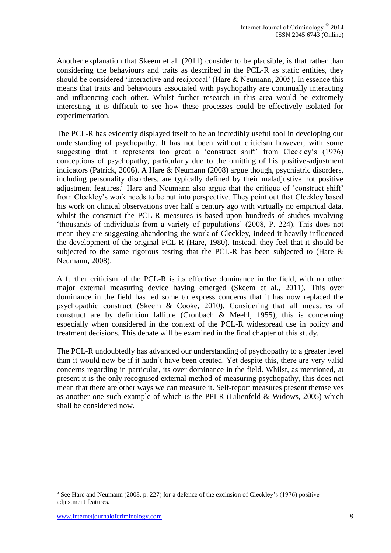Another explanation that Skeem et al. (2011) consider to be plausible, is that rather than considering the behaviours and traits as described in the PCL-R as static entities, they should be considered 'interactive and reciprocal' (Hare & Neumann, 2005). In essence this means that traits and behaviours associated with psychopathy are continually interacting and influencing each other. Whilst further research in this area would be extremely interesting, it is difficult to see how these processes could be effectively isolated for experimentation.

The PCL-R has evidently displayed itself to be an incredibly useful tool in developing our understanding of psychopathy. It has not been without criticism however, with some suggesting that it represents too great a 'construct shift' from Cleckley's (1976) conceptions of psychopathy, particularly due to the omitting of his positive-adjustment indicators (Patrick, 2006). A Hare & Neumann (2008) argue though, psychiatric disorders, including personality disorders, are typically defined by their maladjustive not positive adjustment features.<sup>5</sup> Hare and Neumann also argue that the critique of 'construct shift' from Cleckley's work needs to be put into perspective. They point out that Cleckley based his work on clinical observations over half a century ago with virtually no empirical data, whilst the construct the PCL-R measures is based upon hundreds of studies involving 'thousands of individuals from a variety of populations' (2008, P. 224). This does not mean they are suggesting abandoning the work of Cleckley, indeed it heavily influenced the development of the original PCL-R (Hare, 1980). Instead, they feel that it should be subjected to the same rigorous testing that the PCL-R has been subjected to (Hare & Neumann, 2008).

A further criticism of the PCL-R is its effective dominance in the field, with no other major external measuring device having emerged (Skeem et al., 2011). This over dominance in the field has led some to express concerns that it has now replaced the psychopathic construct (Skeem & Cooke, 2010). Considering that all measures of construct are by definition fallible (Cronbach & Meehl, 1955), this is concerning especially when considered in the context of the PCL-R widespread use in policy and treatment decisions. This debate will be examined in the final chapter of this study.

The PCL-R undoubtedly has advanced our understanding of psychopathy to a greater level than it would now be if it hadn't have been created. Yet despite this, there are very valid concerns regarding in particular, its over dominance in the field. Whilst, as mentioned, at present it is the only recognised external method of measuring psychopathy, this does not mean that there are other ways we can measure it. Self-report measures present themselves as another one such example of which is the PPI-R (Lilienfeld & Widows, 2005) which shall be considered now.

 $\overline{a}$ 

<sup>&</sup>lt;sup>5</sup> See Hare and Neumann (2008, p. 227) for a defence of the exclusion of Cleckley's (1976) positiveadjustment features.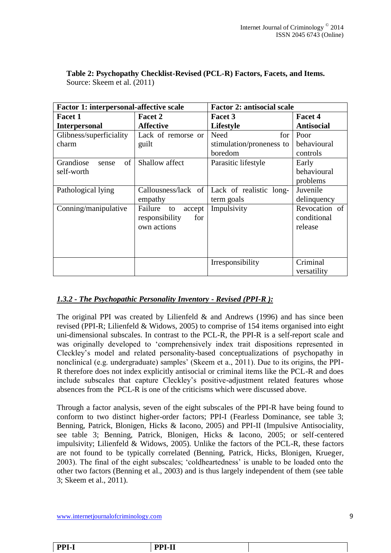| <b>Factor 1: interpersonal-affective scale</b> |                         | <b>Factor 2: antisocial scale</b>             |                   |  |
|------------------------------------------------|-------------------------|-----------------------------------------------|-------------------|--|
| <b>Facet 1</b>                                 | Facet 2                 | Facet 3                                       | <b>Facet 4</b>    |  |
| <b>Interpersonal</b>                           | <b>Affective</b>        | Lifestyle                                     | <b>Antisocial</b> |  |
| Glibness/superficiality                        | Lack of remorse or      | Need<br>for                                   | Poor              |  |
| charm                                          | guilt                   | stimulation/proneness to                      | behavioural       |  |
|                                                |                         | boredom                                       | controls          |  |
| of<br>Grandiose<br>sense                       | Shallow affect          | Parasitic lifestyle                           | Early             |  |
| self-worth                                     |                         |                                               | behavioural       |  |
|                                                |                         |                                               | problems          |  |
| Pathological lying                             |                         | Callousness/lack of   Lack of realistic long- | Juvenile          |  |
|                                                | empathy                 | term goals                                    | delinquency       |  |
| Conning/manipulative                           | Failure<br>accept<br>to | Impulsivity                                   | Revocation of     |  |
|                                                | responsibility<br>for   |                                               | conditional       |  |
|                                                | own actions             |                                               | release           |  |
|                                                |                         |                                               |                   |  |
|                                                |                         |                                               |                   |  |
|                                                |                         |                                               |                   |  |
|                                                |                         | Irresponsibility                              | Criminal          |  |
|                                                |                         |                                               | versatility       |  |

**Table 2: Psychopathy Checklist-Revised (PCL-R) Factors, Facets, and Items.** Source: Skeem et al. (2011)

### *1.3.2 - The Psychopathic Personality Inventory - Revised (PPI-R ):*

The original PPI was created by Lilienfeld  $\&$  and Andrews (1996) and has since been revised (PPI-R; Lilienfeld & Widows, 2005) to comprise of 154 items organised into eight uni-dimensional subscales. In contrast to the PCL-R, the PPI-R is a self-report scale and was originally developed to 'comprehensively index trait dispositions represented in Cleckley's model and related personality-based conceptualizations of psychopathy in nonclinical (e.g. undergraduate) samples' (Skeem et a., 2011). Due to its origins, the PPI-R therefore does not index explicitly antisocial or criminal items like the PCL-R and does include subscales that capture Cleckley's positive-adjustment related features whose absences from the PCL-R is one of the criticisms which were discussed above.

Through a factor analysis, seven of the eight subscales of the PPI-R have being found to conform to two distinct higher-order factors; PPI-I (Fearless Dominance, see table 3; Benning, Patrick, Blonigen, Hicks & Iacono, 2005) and PPI-II (Impulsive Antisociality, see table 3; Benning, Patrick, Blonigen, Hicks & Iacono, 2005; or self-centered impulsivity; Lilienfeld & Widows, 2005). Unlike the factors of the PCL-R, these factors are not found to be typically correlated (Benning, Patrick, Hicks, Blonigen, Krueger, 2003). The final of the eight subscales; 'coldheartedness' is unable to be loaded onto the other two factors (Benning et al., 2003) and is thus largely independent of them (see table 3; Skeem et al., 2011).

www.internetjournalofcriminology.com 9

**PPI-I PPI-II**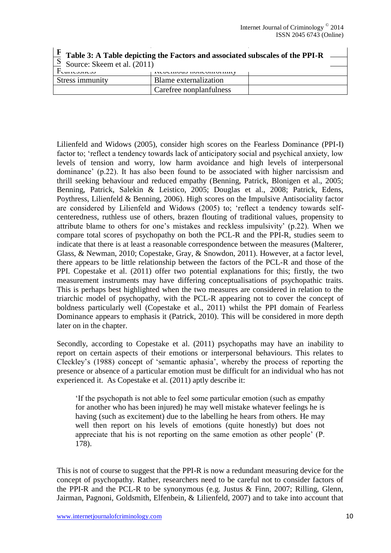$\mathbf{I}$ 

| $\mathbf{F}$ Table 3: A Table depicting the Factors and associated subscales of the PPI-R |                                     |  |  |  |  |  |
|-------------------------------------------------------------------------------------------|-------------------------------------|--|--|--|--|--|
| $\vert S \vert$ Source: Skeem et al. (2011)                                               |                                     |  |  |  |  |  |
| Teamooneoo                                                                                | <b>INVUVIIIUUD HUHVUIIIUIIIIIII</b> |  |  |  |  |  |
| Stress immunity                                                                           | Blame externalization               |  |  |  |  |  |
|                                                                                           | Carefree nonplanfulness             |  |  |  |  |  |

Lilienfeld and Widows (2005), consider high scores on the Fearless Dominance (PPI-I) factor to; 'reflect a tendency towards lack of anticipatory social and psychical anxiety, low levels of tension and worry, low harm avoidance and high levels of interpersonal dominance' (p.22). It has also been found to be associated with higher narcissism and thrill seeking behaviour and reduced empathy (Benning, Patrick, Blonigen et al., 2005; Benning, Patrick, Salekin & Leistico, 2005; Douglas et al., 2008; Patrick, Edens, Poythress, Lilienfeld & Benning, 2006). High scores on the Impulsive Antisociality factor are considered by Lilienfeld and Widows (2005) to; 'reflect a tendency towards selfcenteredness, ruthless use of others, brazen flouting of traditional values, propensity to attribute blame to others for one's mistakes and reckless impulsivity' (p.22). When we compare total scores of psychopathy on both the PCL-R and the PPI-R, studies seem to indicate that there is at least a reasonable correspondence between the measures (Malterer, Glass, & Newman, 2010; Copestake, Gray, & Snowdon, 2011). However, at a factor level, there appears to be little relationship between the factors of the PCL-R and those of the PPI. Copestake et al. (2011) offer two potential explanations for this; firstly, the two measurement instruments may have differing conceptualisations of psychopathic traits. This is perhaps best highlighted when the two measures are considered in relation to the triarchic model of psychopathy, with the PCL-R appearing not to cover the concept of boldness particularly well (Copestake et al., 2011) whilst the PPI domain of Fearless Dominance appears to emphasis it (Patrick, 2010). This will be considered in more depth later on in the chapter.

Secondly, according to Copestake et al. (2011) psychopaths may have an inability to report on certain aspects of their emotions or interpersonal behaviours. This relates to Cleckley's (1988) concept of 'semantic aphasia', whereby the process of reporting the presence or absence of a particular emotion must be difficult for an individual who has not experienced it. As Copestake et al. (2011) aptly describe it:

'If the psychopath is not able to feel some particular emotion (such as empathy for another who has been injured) he may well mistake whatever feelings he is having (such as excitement) due to the labelling he hears from others. He may well then report on his levels of emotions (quite honestly) but does not appreciate that his is not reporting on the same emotion as other people' (P. 178).

This is not of course to suggest that the PPI-R is now a redundant measuring device for the concept of psychopathy. Rather, researchers need to be careful not to consider factors of the PPI-R and the PCL-R to be synonymous (e.g. Justus & Finn, 2007; Rilling, Glenn, Jairman, Pagnoni, Goldsmith, Elfenbein, & Lilienfeld, 2007) and to take into account that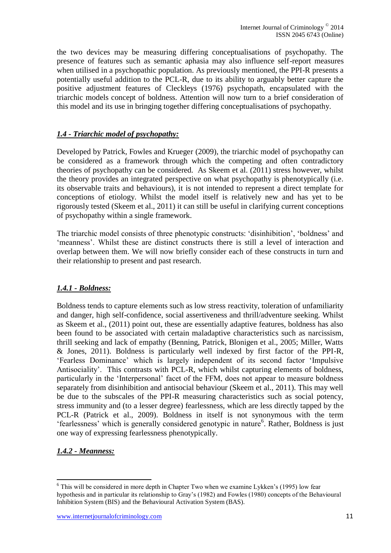the two devices may be measuring differing conceptualisations of psychopathy. The presence of features such as semantic aphasia may also influence self-report measures when utilised in a psychopathic population. As previously mentioned, the PPI-R presents a potentially useful addition to the PCL-R, due to its ability to arguably better capture the positive adjustment features of Cleckleys (1976) psychopath, encapsulated with the triarchic models concept of boldness. Attention will now turn to a brief consideration of this model and its use in bringing together differing conceptualisations of psychopathy.

### *1.4 - Triarchic model of psychopathy:*

Developed by Patrick, Fowles and Krueger (2009), the triarchic model of psychopathy can be considered as a framework through which the competing and often contradictory theories of psychopathy can be considered. As Skeem et al. (2011) stress however, whilst the theory provides an integrated perspective on what psychopathy is phenotypically (i.e. its observable traits and behaviours), it is not intended to represent a direct template for conceptions of etiology. Whilst the model itself is relatively new and has yet to be rigorously tested (Skeem et al., 2011) it can still be useful in clarifying current conceptions of psychopathy within a single framework.

The triarchic model consists of three phenotypic constructs: 'disinhibition', 'boldness' and 'meanness'. Whilst these are distinct constructs there is still a level of interaction and overlap between them. We will now briefly consider each of these constructs in turn and their relationship to present and past research.

### *1.4.1 - Boldness:*

Boldness tends to capture elements such as low stress reactivity, toleration of unfamiliarity and danger, high self-confidence, social assertiveness and thrill/adventure seeking. Whilst as Skeem et al., (2011) point out, these are essentially adaptive features, boldness has also been found to be associated with certain maladaptive characteristics such as narcissism, thrill seeking and lack of empathy (Benning, Patrick, Blonigen et al., 2005; Miller, Watts & Jones, 2011). Boldness is particularly well indexed by first factor of the PPI-R, 'Fearless Dominance' which is largely independent of its second factor 'Impulsive Antisociality'. This contrasts with PCL-R, which whilst capturing elements of boldness, particularly in the 'Interpersonal' facet of the FFM, does not appear to measure boldness separately from disinhibition and antisocial behaviour (Skeem et al., 2011). This may well be due to the subscales of the PPI-R measuring characteristics such as social potency, stress immunity and (to a lesser degree) fearlessness, which are less directly tapped by the PCL-R (Patrick et al., 2009). Boldness in itself is not synonymous with the term 'fearlessness' which is generally considered genotypic in nature<sup>6</sup>. Rather, Boldness is just one way of expressing fearlessness phenotypically.

# *1.4.2 - Meanness:*

 6 This will be considered in more depth in Chapter Two when we examine Lykken's (1995) low fear hypothesis and in particular its relationship to Gray's (1982) and Fowles (1980) concepts of the Behavioural Inhibition System (BIS) and the Behavioural Activation System (BAS).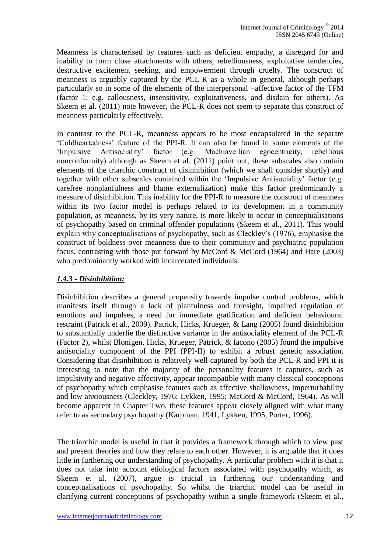Meanness is characterised by features such as deficient empathy, a disregard for and inability to form close attachments with others, rebelliousness, exploitative tendencies, destructive excitement seeking, and empowerment through cruelty. The construct of meanness is arguably captured by the PCL-R as a whole in general, although perhaps particularly so in some of the elements of the interpersonal –affective factor of the TFM (factor 1; e.g. callousness, insensitivity, exploitativeness, and disdain for others). As Skeem et al. (2011) note however, the PCL-R does not seem to separate this construct of meanness particularly effectively.

In contrast to the PCL-R, meanness appears to be most encapsulated in the separate 'Coldheartedness' feature of the PPI-R. It can also be found in some elements of the 'Impulsive Antisociality' factor (e.g. Machiavellian egocentricity, rebellious nonconformity) although as Skeem et al. (2011) point out, these subscales also contain elements of the triarchic construct of disinhibition (which we shall consider shortly) and together with other subscales contained within the 'Impulsive Antisociality' factor (e.g. carefree nonplanfulness and blame externalization) make this factor predominantly a measure of disinhibition. This inability for the PPI-R to measure the construct of meanness within its two factor model is perhaps related to its development in a community population, as meanness, by its very nature, is more likely to occur in conceptualisations of psychopathy based on criminal offender populations (Skeem et al., 2011). This would explain why conceptualisations of psychopathy, such as Cleckley's (1976), emphasise the construct of boldness over meanness due to their community and psychiatric population focus, contrasting with those put forward by McCord & McCord (1964) and Hare (2003) who predominantly worked with incarcerated individuals.

### *1.4.3 - Disinhibition:*

Disinhibition describes a general propensity towards impulse control problems, which manifests itself through a lack of planfulness and foresight, impaired regulation of emotions and impulses, a need for immediate gratification and deficient behavioural restraint (Patrick et al., 2009). Patrick, Hicks, Krueger, & Lang (2005) found disinhibition to substantially underlie the distinctive variance in the antisociality element of the PCL-R (Factor 2), whilst Blonigen, Hicks, Krueger, Patrick, & Iacono (2005) found the impulsive antisociality component of the PPI (PPI-II) to exhibit a robust genetic association. Considering that disinhibition is relatively well captured by both the PCL-R and PPI it is interesting to note that the majority of the personality features it captures, such as impulsivity and negative affectivity, appear incompatible with many classical conceptions of psychopathy which emphasise features such as affective shallowness, imperturbability and low anxiousness (Cleckley, 1976; Lykken, 1995; McCord & McCord, 1964). As will become apparent in Chapter Two, these features appear closely aligned with what many refer to as secondary psychopathy (Karpman, 1941, Lykken, 1995, Porter, 1996).

The triarchic model is useful in that it provides a framework through which to view past and present theories and how they relate to each other. However, it is arguable that it does little in furthering our understanding of psychopathy. A particular problem with it is that it does not take into account etiological factors associated with psychopathy which, as Skeem et al. (2007), argue is crucial in furthering our understanding and conceptualisations of psychopathy. So whilst the triarchic model can be useful in clarifying current conceptions of psychopathy within a single framework (Skeem et al.,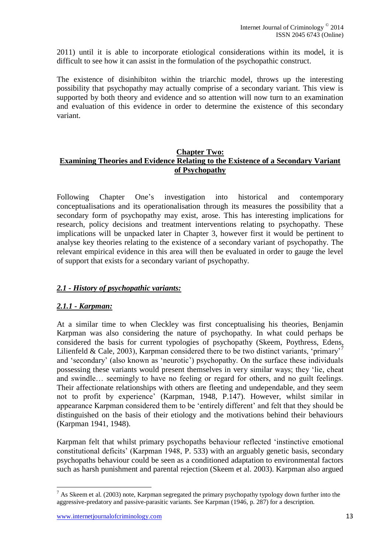2011) until it is able to incorporate etiological considerations within its model, it is difficult to see how it can assist in the formulation of the psychopathic construct.

The existence of disinhibiton within the triarchic model, throws up the interesting possibility that psychopathy may actually comprise of a secondary variant. This view is supported by both theory and evidence and so attention will now turn to an examination and evaluation of this evidence in order to determine the existence of this secondary variant.

#### **Chapter Two: Examining Theories and Evidence Relating to the Existence of a Secondary Variant of Psychopathy**

Following Chapter One's investigation into historical and contemporary conceptualisations and its operationalisation through its measures the possibility that a secondary form of psychopathy may exist, arose. This has interesting implications for research, policy decisions and treatment interventions relating to psychopathy. These implications will be unpacked later in Chapter 3, however first it would be pertinent to analyse key theories relating to the existence of a secondary variant of psychopathy. The relevant empirical evidence in this area will then be evaluated in order to gauge the level of support that exists for a secondary variant of psychopathy.

### *2.1 - History of psychopathic variants:*

### *2.1.1 - Karpman:*

At a similar time to when Cleckley was first conceptualising his theories, Benjamin Karpman was also considering the nature of psychopathy. In what could perhaps be considered the basis for current typologies of psychopathy (Skeem, Poythress, Edens, Lilienfeld & Cale, 2003), Karpman considered there to be two distinct variants, 'primary'<sup>7</sup> and 'secondary' (also known as 'neurotic') psychopathy. On the surface these individuals possessing these variants would present themselves in very similar ways; they 'lie, cheat and swindle… seemingly to have no feeling or regard for others, and no guilt feelings. Their affectionate relationships with others are fleeting and undependable, and they seem not to profit by experience' (Karpman, 1948, P.147). However, whilst similar in appearance Karpman considered them to be 'entirely different' and felt that they should be distinguished on the basis of their etiology and the motivations behind their behaviours (Karpman 1941, 1948).

Karpman felt that whilst primary psychopaths behaviour reflected 'instinctive emotional constitutional deficits' (Karpman 1948, P. 533) with an arguably genetic basis, secondary psychopaths behaviour could be seen as a conditioned adaptation to environmental factors such as harsh punishment and parental rejection (Skeem et al. 2003). Karpman also argued

 $\overline{a}$ 

 $<sup>7</sup>$  As Skeem et al. (2003) note, Karpman segregated the primary psychopathy typology down further into the</sup> aggressive-predatory and passive-parasitic variants. See Karpman (1946, p. 287) for a description.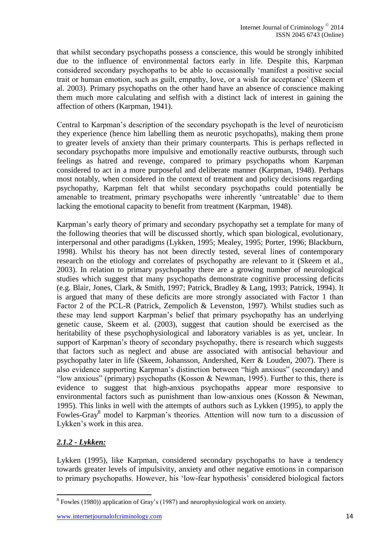that whilst secondary psychopaths possess a conscience, this would be strongly inhibited due to the influence of environmental factors early in life. Despite this, Karpman considered secondary psychopaths to be able to occasionally 'manifest a positive social trait or human emotion, such as guilt, empathy, love, or a wish for acceptance' (Skeem et al. 2003). Primary psychopaths on the other hand have an absence of conscience making them much more calculating and selfish with a distinct lack of interest in gaining the affection of others (Karpman, 1941).

Central to Karpman's description of the secondary psychopath is the level of neuroticism they experience (hence him labelling them as neurotic psychopaths), making them prone to greater levels of anxiety than their primary counterparts. This is perhaps reflected in secondary psychopaths more impulsive and emotionally reactive outbursts, through such feelings as hatred and revenge, compared to primary psychopaths whom Karpman considered to act in a more purposeful and deliberate manner (Karpman, 1948). Perhaps most notably, when considered in the context of treatment and policy decisions regarding psychopathy, Karpman felt that whilst secondary psychopaths could potentially be amenable to treatment, primary psychopaths were inherently 'untreatable' due to them lacking the emotional capacity to benefit from treatment (Karpman, 1948).

Karpman's early theory of primary and secondary psychopathy set a template for many of the following theories that will be discussed shortly, which span biological, evolutionary, interpersonal and other paradigms (Lykken, 1995; Mealey, 1995; Porter, 1996; Blackburn, 1998). Whilst his theory has not been directly tested, several lines of contemporary research on the etiology and correlates of psychopathy are relevant to it (Skeem et al., 2003). In relation to primary psychopathy there are a growing number of neurological studies which suggest that many psychopaths demonstrate cognitive processing deficits (e.g. Blair, Jones, Clark, & Smith, 1997; Patrick, Bradley & Lang, 1993; Patrick, 1994). It is argued that many of these deficits are more strongly associated with Factor 1 than Factor 2 of the PCL-R (Patrick, Zempolich & Levenston, 1997). Whilst studies such as these may lend support Karpman's belief that primary psychopathy has an underlying genetic cause, Skeem et al. (2003), suggest that caution should be exercised as the heritability of these psychophysiological and laboratory variables is as yet, unclear. In support of Karpman's theory of secondary psychopathy, there is research which suggests that factors such as neglect and abuse are associated with antisocial behaviour and psychopathy later in life (Skeem, Johansson, Andershed, Kerr & Louden, 2007). There is also evidence supporting Karpman's distinction between "high anxious" (secondary) and "low anxious" (primary) psychopaths (Kosson & Newman, 1995). Further to this, there is evidence to suggest that high-anxious psychopaths appear more responsive to environmental factors such as punishment than low-anxious ones (Kosson & Newman, 1995). This links in well with the attempts of authors such as Lykken (1995), to apply the Fowles-Gray<sup>8</sup> model to Karpman's theories. Attention will now turn to a discussion of Lykken's work in this area.

# *2.1.2 - Lykken:*

Lykken (1995), like Karpman, considered secondary psychopaths to have a tendency towards greater levels of impulsivity, anxiety and other negative emotions in comparison to primary psychopaths. However, his 'low-fear hypothesis' considered biological factors

 8 Fowles (1980)) application of Gray's (1987) and neurophysiological work on anxiety.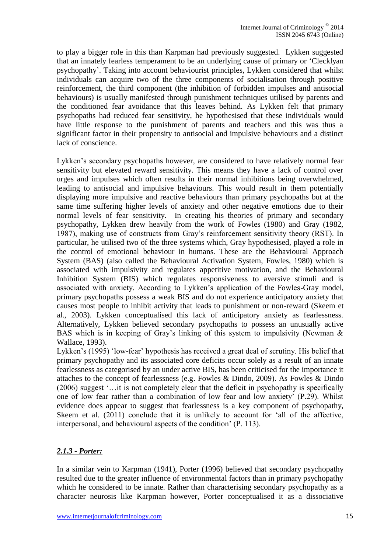to play a bigger role in this than Karpman had previously suggested. Lykken suggested that an innately fearless temperament to be an underlying cause of primary or 'Clecklyan psychopathy'. Taking into account behaviourist principles, Lykken considered that whilst individuals can acquire two of the three components of socialisation through positive reinforcement, the third component (the inhibition of forbidden impulses and antisocial behaviours) is usually manifested through punishment techniques utilised by parents and the conditioned fear avoidance that this leaves behind. As Lykken felt that primary psychopaths had reduced fear sensitivity, he hypothesised that these individuals would have little response to the punishment of parents and teachers and this was thus a significant factor in their propensity to antisocial and impulsive behaviours and a distinct lack of conscience.

Lykken's secondary psychopaths however, are considered to have relatively normal fear sensitivity but elevated reward sensitivity. This means they have a lack of control over urges and impulses which often results in their normal inhibitions being overwhelmed, leading to antisocial and impulsive behaviours. This would result in them potentially displaying more impulsive and reactive behaviours than primary psychopaths but at the same time suffering higher levels of anxiety and other negative emotions due to their normal levels of fear sensitivity. In creating his theories of primary and secondary psychopathy, Lykken drew heavily from the work of Fowles (1980) and Gray (1982, 1987), making use of constructs from Gray's reinforcement sensitivity theory (RST). In particular, he utilised two of the three systems which, Gray hypothesised, played a role in the control of emotional behaviour in humans. These are the Behavioural Approach System (BAS) (also called the Behavioural Activation System, Fowles, 1980) which is associated with impulsivity and regulates appetitive motivation, and the Behavioural Inhibition System (BIS) which regulates responsiveness to aversive stimuli and is associated with anxiety. According to Lykken's application of the Fowles-Gray model, primary psychopaths possess a weak BIS and do not experience anticipatory anxiety that causes most people to inhibit activity that leads to punishment or non-reward (Skeem et al., 2003). Lykken conceptualised this lack of anticipatory anxiety as fearlessness. Alternatively, Lykken believed secondary psychopaths to possess an unusually active BAS which is in keeping of Gray's linking of this system to impulsivity (Newman & Wallace, 1993).

Lykken's (1995) 'low-fear' hypothesis has received a great deal of scrutiny. His belief that primary psychopathy and its associated core deficits occur solely as a result of an innate fearlessness as categorised by an under active BIS, has been criticised for the importance it attaches to the concept of fearlessness (e.g. Fowles & Dindo, 2009). As Fowles & Dindo (2006) suggest '…it is not completely clear that the deficit in psychopathy is specifically one of low fear rather than a combination of low fear and low anxiety' (P.29). Whilst evidence does appear to suggest that fearlessness is a key component of psychopathy, Skeem et al. (2011) conclude that it is unlikely to account for 'all of the affective, interpersonal, and behavioural aspects of the condition' (P. 113).

# *2.1.3 - Porter:*

In a similar vein to Karpman (1941), Porter (1996) believed that secondary psychopathy resulted due to the greater influence of environmental factors than in primary psychopathy which he considered to be innate. Rather than characterising secondary psychopathy as a character neurosis like Karpman however, Porter conceptualised it as a dissociative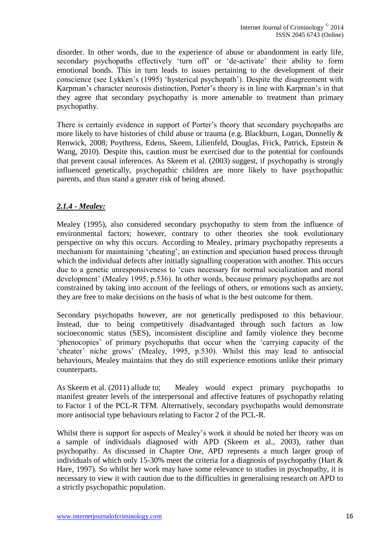disorder. In other words, due to the experience of abuse or abandonment in early life, secondary psychopaths effectively 'turn off' or 'de-activate' their ability to form emotional bonds. This in turn leads to issues pertaining to the development of their conscience (see Lykken's (1995) 'hysterical psychopath'). Despite the disagreement with Karpman's character neurosis distinction, Porter's theory is in line with Karpman's in that they agree that secondary psychopathy is more amenable to treatment than primary psychopathy.

There is certainly evidence in support of Porter's theory that secondary psychopaths are more likely to have histories of child abuse or trauma (e.g. Blackburn, Logan, Donnelly & Renwick, 2008; Poythress, Edens, Skeem, Lilienfeld, Douglas, Frick, Patrick, Epstein & Wang, 2010). Despite this, caution must be exercised due to the potential for confounds that prevent causal inferences. As Skeem et al. (2003) suggest, if psychopathy is strongly influenced genetically, psychopathic children are more likely to have psychopathic parents, and thus stand a greater risk of being abused.

# *2.1.4 - Mealey:*

Mealey (1995), also considered secondary psychopathy to stem from the influence of environmental factors; however, contrary to other theories she took evolutionary perspective on why this occurs. According to Mealey, primary psychopathy represents a mechanism for maintaining 'cheating', an extinction and speciation based process through which the individual defects after initially signalling cooperation with another. This occurs due to a genetic unresponsiveness to 'cues necessary for normal socialization and moral development' (Mealey 1995, p.536). In other words, because primary psychopaths are not constrained by taking into account of the feelings of others, or emotions such as anxiety, they are free to make decisions on the basis of what is the best outcome for them.

Secondary psychopaths however, are not genetically predisposed to this behaviour. Instead, due to being competitively disadvantaged through such factors as low socioeconomic status (SES), inconsistent discipline and family violence they become 'phenocopies' of primary psychopaths that occur when the 'carrying capacity of the 'cheater' niche grows' (Mealey, 1995, p.530). Whilst this may lead to antisocial behaviours, Mealey maintains that they do still experience emotions unlike their primary counterparts.

As Skeem et al. (2011) allude to; Mealey would expect primary psychopaths to manifest greater levels of the interpersonal and affective features of psychopathy relating to Factor 1 of the PCL-R TFM. Alternatively, secondary psychopaths would demonstrate more antisocial type behaviours relating to Factor 2 of the PCL-R.

Whilst there is support for aspects of Mealey's work it should be noted her theory was on a sample of individuals diagnosed with APD (Skeem et al., 2003), rather than psychopathy. As discussed in Chapter One, APD represents a much larger group of individuals of which only 15-30% meet the criteria for a diagnosis of psychopathy (Hart & Hare, 1997). So whilst her work may have some relevance to studies in psychopathy, it is necessary to view it with caution due to the difficulties in generalising research on APD to a strictly psychopathic population.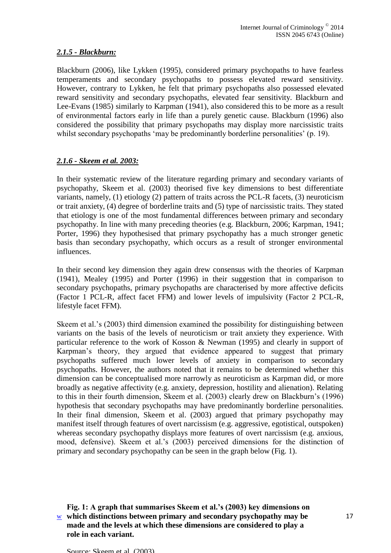### *2.1.5 - Blackburn:*

Blackburn (2006), like Lykken (1995), considered primary psychopaths to have fearless temperaments and secondary psychopaths to possess elevated reward sensitivity. However, contrary to Lykken, he felt that primary psychopaths also possessed elevated reward sensitivity and secondary psychopaths, elevated fear sensitivity. Blackburn and Lee-Evans (1985) similarly to Karpman (1941), also considered this to be more as a result of environmental factors early in life than a purely genetic cause. Blackburn (1996) also considered the possibility that primary psychopaths may display more narcissistic traits whilst secondary psychopaths 'may be predominantly borderline personalities' (p. 19).

# *2.1.6 - Skeem et al. 2003:*

In their systematic review of the literature regarding primary and secondary variants of psychopathy, Skeem et al. (2003) theorised five key dimensions to best differentiate variants, namely, (1) etiology (2) pattern of traits across the PCL-R facets, (3) neuroticism or trait anxiety, (4) degree of borderline traits and (5) type of narcissistic traits. They stated that etiology is one of the most fundamental differences between primary and secondary psychopathy. In line with many preceding theories (e.g. Blackburn, 2006; Karpman, 1941; Porter, 1996) they hypothesised that primary psychopathy has a much stronger genetic basis than secondary psychopathy, which occurs as a result of stronger environmental influences.

In their second key dimension they again drew consensus with the theories of Karpman (1941), Mealey (1995) and Porter (1996) in their suggestion that in comparison to secondary psychopaths, primary psychopaths are characterised by more affective deficits (Factor 1 PCL-R, affect facet FFM) and lower levels of impulsivity (Factor 2 PCL-R, lifestyle facet FFM).

Skeem et al.'s (2003) third dimension examined the possibility for distinguishing between variants on the basis of the levels of neuroticism or trait anxiety they experience. With particular reference to the work of Kosson & Newman (1995) and clearly in support of Karpman's theory, they argued that evidence appeared to suggest that primary psychopaths suffered much lower levels of anxiety in comparison to secondary psychopaths. However, the authors noted that it remains to be determined whether this dimension can be conceptualised more narrowly as neuroticism as Karpman did, or more broadly as negative affectivity (e.g. anxiety, depression, hostility and alienation). Relating to this in their fourth dimension, Skeem et al. (2003) clearly drew on Blackburn's (1996) hypothesis that secondary psychopaths may have predominantly borderline personalities. In their final dimension, Skeem et al. (2003) argued that primary psychopathy may manifest itself through features of overt narcissism (e.g. aggressive, egotistical, outspoken) whereas secondary psychopathy displays more features of overt narcissism (e.g. anxious, mood, defensive). Skeem et al.'s (2003) perceived dimensions for the distinction of primary and secondary psychopathy can be seen in the graph below (Fig. 1).

<u>w</u> which distinctions between primary and secondary psychopathy may be **and 17 Fig. 1: A graph that summarises Skeem et al.'s (2003) key dimensions on made and the levels at which these dimensions are considered to play a role in each variant.**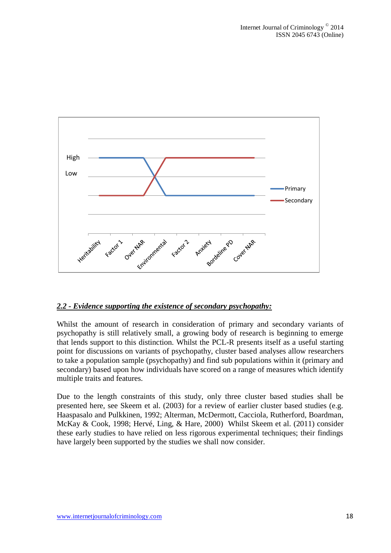

### *2.2 - Evidence supporting the existence of secondary psychopathy:*

Whilst the amount of research in consideration of primary and secondary variants of psychopathy is still relatively small, a growing body of research is beginning to emerge that lends support to this distinction. Whilst the PCL-R presents itself as a useful starting point for discussions on variants of psychopathy, cluster based analyses allow researchers to take a population sample (psychopathy) and find sub populations within it (primary and secondary) based upon how individuals have scored on a range of measures which identify multiple traits and features.

Due to the length constraints of this study, only three cluster based studies shall be presented here, see Skeem et al. (2003) for a review of earlier cluster based studies (e.g. Haaspasalo and Pulkkinen, 1992; Alterman, McDermott, Cacciola, Rutherford, Boardman, McKay & Cook, 1998; Hervé, Ling, & Hare, 2000) Whilst Skeem et al. (2011) consider these early studies to have relied on less rigorous experimental techniques; their findings have largely been supported by the studies we shall now consider.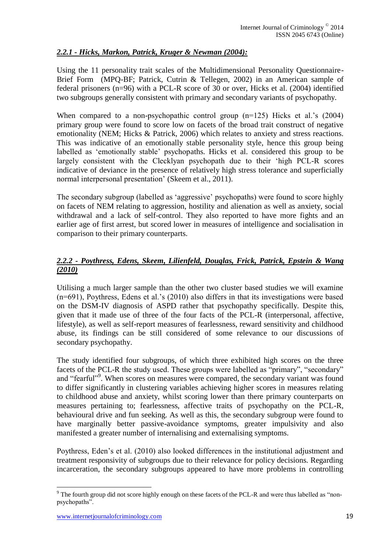# *2.2.1 - Hicks, Markon, Patrick, Kruger & Newman (2004):*

Using the 11 personality trait scales of the Multidimensional Personality Questionnaire-Brief Form (MPQ-BF; Patrick, Cutrin & Tellegen, 2002) in an American sample of federal prisoners (n=96) with a PCL-R score of 30 or over, Hicks et al. (2004) identified two subgroups generally consistent with primary and secondary variants of psychopathy.

When compared to a non-psychopathic control group (n=125) Hicks et al.'s (2004) primary group were found to score low on facets of the broad trait construct of negative emotionality (NEM; Hicks & Patrick, 2006) which relates to anxiety and stress reactions. This was indicative of an emotionally stable personality style, hence this group being labelled as 'emotionally stable' psychopaths. Hicks et al. considered this group to be largely consistent with the Clecklyan psychopath due to their 'high PCL-R scores indicative of deviance in the presence of relatively high stress tolerance and superficially normal interpersonal presentation' (Skeem et al., 2011).

The secondary subgroup (labelled as 'aggressive' psychopaths) were found to score highly on facets of NEM relating to aggression, hostility and alienation as well as anxiety, social withdrawal and a lack of self-control. They also reported to have more fights and an earlier age of first arrest, but scored lower in measures of intelligence and socialisation in comparison to their primary counterparts.

# *2.2.2 - Poythress, Edens, Skeem, Lilienfeld, Douglas, Frick, Patrick, Epstein & Wang (2010)*

Utilising a much larger sample than the other two cluster based studies we will examine (n=691), Poythress, Edens et al.'s (2010) also differs in that its investigations were based on the DSM-IV diagnosis of ASPD rather that psychopathy specifically. Despite this, given that it made use of three of the four facts of the PCL-R (interpersonal, affective, lifestyle), as well as self-report measures of fearlessness, reward sensitivity and childhood abuse, its findings can be still considered of some relevance to our discussions of secondary psychopathy.

The study identified four subgroups, of which three exhibited high scores on the three facets of the PCL-R the study used. These groups were labelled as "primary", "secondary" and "fearful"<sup>9</sup>. When scores on measures were compared, the secondary variant was found to differ significantly in clustering variables achieving higher scores in measures relating to childhood abuse and anxiety, whilst scoring lower than there primary counterparts on measures pertaining to; fearlessness, affective traits of psychopathy on the PCL-R, behavioural drive and fun seeking. As well as this, the secondary subgroup were found to have marginally better passive-avoidance symptoms, greater impulsivity and also manifested a greater number of internalising and externalising symptoms.

Poythress, Eden's et al. (2010) also looked differences in the institutional adjustment and treatment responsivity of subgroups due to their relevance for policy decisions. Regarding incarceration, the secondary subgroups appeared to have more problems in controlling

 $\overline{a}$ 

 $9^9$  The fourth group did not score highly enough on these facets of the PCL-R and were thus labelled as "nonpsychopaths".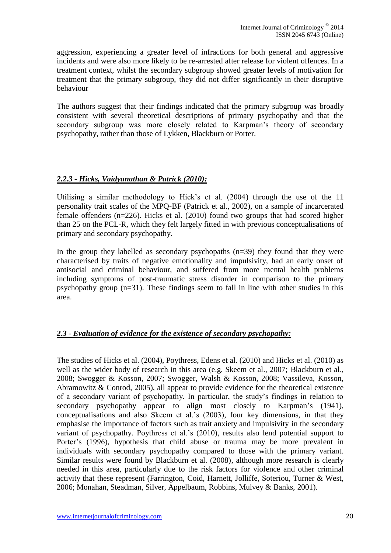aggression, experiencing a greater level of infractions for both general and aggressive incidents and were also more likely to be re-arrested after release for violent offences. In a treatment context, whilst the secondary subgroup showed greater levels of motivation for treatment that the primary subgroup, they did not differ significantly in their disruptive behaviour

The authors suggest that their findings indicated that the primary subgroup was broadly consistent with several theoretical descriptions of primary psychopathy and that the secondary subgroup was more closely related to Karpman's theory of secondary psychopathy, rather than those of Lykken, Blackburn or Porter.

#### *2.2.3 - Hicks, Vaidyanathan & Patrick (2010):*

Utilising a similar methodology to Hick's et al. (2004) through the use of the 11 personality trait scales of the MPQ-BF (Patrick et al., 2002), on a sample of incarcerated female offenders (n=226). Hicks et al. (2010) found two groups that had scored higher than 25 on the PCL-R, which they felt largely fitted in with previous conceptualisations of primary and secondary psychopathy.

In the group they labelled as secondary psychopaths  $(n=39)$  they found that they were characterised by traits of negative emotionality and impulsivity, had an early onset of antisocial and criminal behaviour, and suffered from more mental health problems including symptoms of post-traumatic stress disorder in comparison to the primary psychopathy group (n=31). These findings seem to fall in line with other studies in this area.

### *2.3 - Evaluation of evidence for the existence of secondary psychopathy:*

The studies of Hicks et al. (2004), Poythress, Edens et al. (2010) and Hicks et al. (2010) as well as the wider body of research in this area (e.g. Skeem et al., 2007; Blackburn et al., 2008; Swogger & Kosson, 2007; Swogger, Walsh & Kosson, 2008; Vassileva, Kosson, Abramowitz & Conrod, 2005), all appear to provide evidence for the theoretical existence of a secondary variant of psychopathy. In particular, the study's findings in relation to secondary psychopathy appear to align most closely to Karpman's (1941), conceptualisations and also Skeem et al.'s (2003), four key dimensions, in that they emphasise the importance of factors such as trait anxiety and impulsivity in the secondary variant of psychopathy. Poythress et al.'s (2010), results also lend potential support to Porter's (1996), hypothesis that child abuse or trauma may be more prevalent in individuals with secondary psychopathy compared to those with the primary variant. Similar results were found by Blackburn et al. (2008), although more research is clearly needed in this area, particularly due to the risk factors for violence and other criminal activity that these represent (Farrington, Coid, Harnett, Jolliffe, Soteriou, Turner & West, 2006; Monahan, Steadman, Silver, Appelbaum, Robbins, Mulvey & Banks, 2001).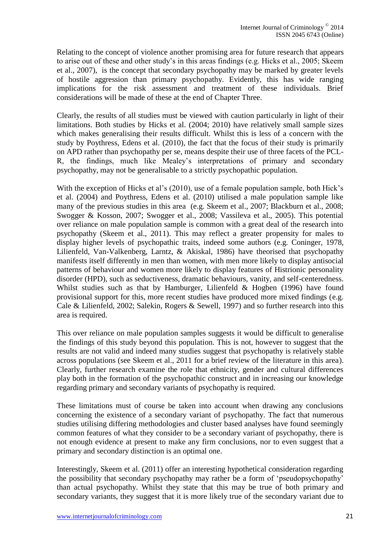Relating to the concept of violence another promising area for future research that appears to arise out of these and other study's in this areas findings (e.g. Hicks et al., 2005; Skeem et al., 2007), is the concept that secondary psychopathy may be marked by greater levels of hostile aggression than primary psychopathy. Evidently, this has wide ranging implications for the risk assessment and treatment of these individuals. Brief considerations will be made of these at the end of Chapter Three.

Clearly, the results of all studies must be viewed with caution particularly in light of their limitations. Both studies by Hicks et al. (2004; 2010) have relatively small sample sizes which makes generalising their results difficult. Whilst this is less of a concern with the study by Poythress, Edens et al. (2010), the fact that the focus of their study is primarily on APD rather than psychopathy per se, means despite their use of three facets of the PCL-R, the findings, much like Mealey's interpretations of primary and secondary psychopathy, may not be generalisable to a strictly psychopathic population.

With the exception of Hicks et al's (2010), use of a female population sample, both Hick's et al. (2004) and Poythress, Edens et al. (2010) utilised a male population sample like many of the previous studies in this area (e.g. Skeem et al., 2007; Blackburn et al., 2008; Swogger & Kosson, 2007; Swogger et al., 2008; Vassileva et al., 2005). This potential over reliance on male population sample is common with a great deal of the research into psychopathy (Skeem et al., 2011). This may reflect a greater propensity for males to display higher levels of psychopathic traits, indeed some authors (e.g. Coninger, 1978, Lilienfeld, Van-Valkenberg, Larntz, & Akiskal, 1986) have theorised that psychopathy manifests itself differently in men than women, with men more likely to display antisocial patterns of behaviour and women more likely to display features of Histrionic personality disorder (HPD), such as seductiveness, dramatic behaviours, vanity, and self-centeredness. Whilst studies such as that by Hamburger, Lilienfeld & Hogben (1996) have found provisional support for this, more recent studies have produced more mixed findings (e.g. Cale & Lilienfeld, 2002; Salekin, Rogers & Sewell, 1997) and so further research into this area is required.

This over reliance on male population samples suggests it would be difficult to generalise the findings of this study beyond this population. This is not, however to suggest that the results are not valid and indeed many studies suggest that psychopathy is relatively stable across populations (see Skeem et al., 2011 for a brief review of the literature in this area). Clearly, further research examine the role that ethnicity, gender and cultural differences play both in the formation of the psychopathic construct and in increasing our knowledge regarding primary and secondary variants of psychopathy is required.

These limitations must of course be taken into account when drawing any conclusions concerning the existence of a secondary variant of psychopathy. The fact that numerous studies utilising differing methodologies and cluster based analyses have found seemingly common features of what they consider to be a secondary variant of psychopathy, there is not enough evidence at present to make any firm conclusions, nor to even suggest that a primary and secondary distinction is an optimal one.

Interestingly, Skeem et al. (2011) offer an interesting hypothetical consideration regarding the possibility that secondary psychopathy may rather be a form of 'pseudopsychopathy' than actual psychopathy. Whilst they state that this may be true of both primary and secondary variants, they suggest that it is more likely true of the secondary variant due to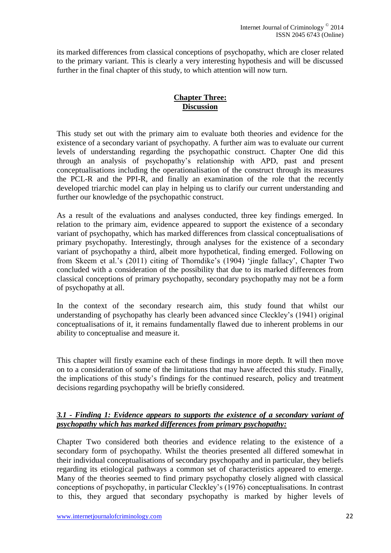its marked differences from classical conceptions of psychopathy, which are closer related to the primary variant. This is clearly a very interesting hypothesis and will be discussed further in the final chapter of this study, to which attention will now turn.

# **Chapter Three: Discussion**

This study set out with the primary aim to evaluate both theories and evidence for the existence of a secondary variant of psychopathy. A further aim was to evaluate our current levels of understanding regarding the psychopathic construct. Chapter One did this through an analysis of psychopathy's relationship with APD, past and present conceptualisations including the operationalisation of the construct through its measures the PCL-R and the PPI-R, and finally an examination of the role that the recently developed triarchic model can play in helping us to clarify our current understanding and further our knowledge of the psychopathic construct.

As a result of the evaluations and analyses conducted, three key findings emerged. In relation to the primary aim, evidence appeared to support the existence of a secondary variant of psychopathy, which has marked differences from classical conceptualisations of primary psychopathy. Interestingly, through analyses for the existence of a secondary variant of psychopathy a third, albeit more hypothetical, finding emerged. Following on from Skeem et al.'s (2011) citing of Thorndike's (1904) 'jingle fallacy', Chapter Two concluded with a consideration of the possibility that due to its marked differences from classical conceptions of primary psychopathy, secondary psychopathy may not be a form of psychopathy at all.

In the context of the secondary research aim, this study found that whilst our understanding of psychopathy has clearly been advanced since Cleckley's (1941) original conceptualisations of it, it remains fundamentally flawed due to inherent problems in our ability to conceptualise and measure it.

This chapter will firstly examine each of these findings in more depth. It will then move on to a consideration of some of the limitations that may have affected this study. Finally, the implications of this study's findings for the continued research, policy and treatment decisions regarding psychopathy will be briefly considered.

### *3.1 - Finding 1: Evidence appears to supports the existence of a secondary variant of psychopathy which has marked differences from primary psychopathy:*

Chapter Two considered both theories and evidence relating to the existence of a secondary form of psychopathy. Whilst the theories presented all differed somewhat in their individual conceptualisations of secondary psychopathy and in particular, they beliefs regarding its etiological pathways a common set of characteristics appeared to emerge. Many of the theories seemed to find primary psychopathy closely aligned with classical conceptions of psychopathy, in particular Cleckley's (1976) conceptualisations. In contrast to this, they argued that secondary psychopathy is marked by higher levels of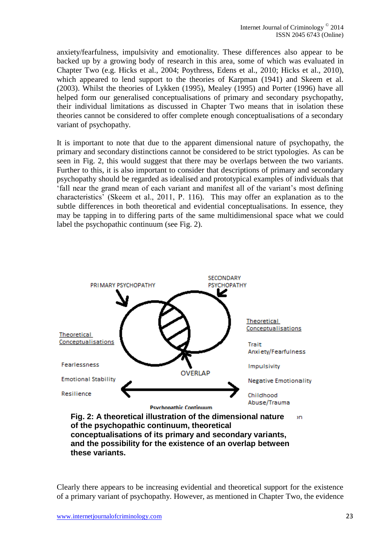anxiety/fearfulness, impulsivity and emotionality. These differences also appear to be backed up by a growing body of research in this area, some of which was evaluated in Chapter Two (e.g. Hicks et al., 2004; Poythress, Edens et al., 2010; Hicks et al., 2010), which appeared to lend support to the theories of Karpman (1941) and Skeem et al. (2003). Whilst the theories of Lykken (1995), Mealey (1995) and Porter (1996) have all helped form our generalised conceptualisations of primary and secondary psychopathy, their individual limitations as discussed in Chapter Two means that in isolation these theories cannot be considered to offer complete enough conceptualisations of a secondary variant of psychopathy.

It is important to note that due to the apparent dimensional nature of psychopathy, the primary and secondary distinctions cannot be considered to be strict typologies. As can be seen in Fig. 2, this would suggest that there may be overlaps between the two variants. Further to this, it is also important to consider that descriptions of primary and secondary psychopathy should be regarded as idealised and prototypical examples of individuals that 'fall near the grand mean of each variant and manifest all of the variant's most defining characteristics' (Skeem et al., 2011, P. 116). This may offer an explanation as to the subtle differences in both theoretical and evidential conceptualisations. In essence, they may be tapping in to differing parts of the same multidimensional space what we could label the psychopathic continuum (see Fig. 2).



**Fig. 2: A theoretical illustration of the dimensional nature**  <sub>3D</sub> **of the psychopathic continuum, theoretical conceptualisations of its primary and secondary variants, and the possibility for the existence of an overlap between these variants.**

Clearly there appears to be increasing evidential and theoretical support for the existence of a primary variant of psychopathy. However, as mentioned in Chapter Two, the evidence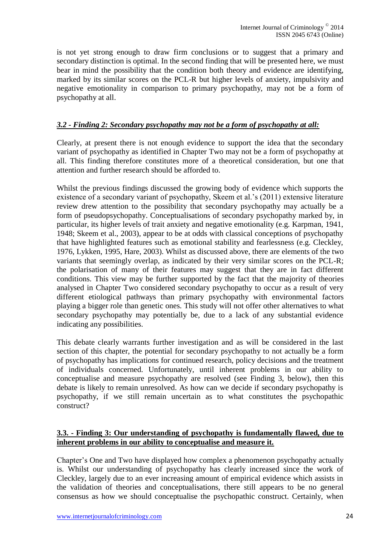is not yet strong enough to draw firm conclusions or to suggest that a primary and secondary distinction is optimal. In the second finding that will be presented here, we must bear in mind the possibility that the condition both theory and evidence are identifying, marked by its similar scores on the PCL-R but higher levels of anxiety, impulsivity and negative emotionality in comparison to primary psychopathy, may not be a form of psychopathy at all.

### *3.2 - Finding 2: Secondary psychopathy may not be a form of psychopathy at all:*

Clearly, at present there is not enough evidence to support the idea that the secondary variant of psychopathy as identified in Chapter Two may not be a form of psychopathy at all. This finding therefore constitutes more of a theoretical consideration, but one that attention and further research should be afforded to.

Whilst the previous findings discussed the growing body of evidence which supports the existence of a secondary variant of psychopathy, Skeem et al.'s (2011) extensive literature review drew attention to the possibility that secondary psychopathy may actually be a form of pseudopsychopathy. Conceptualisations of secondary psychopathy marked by, in particular, its higher levels of trait anxiety and negative emotionality (e.g. Karpman, 1941, 1948; Skeem et al., 2003), appear to be at odds with classical conceptions of psychopathy that have highlighted features such as emotional stability and fearlessness (e.g. Cleckley, 1976, Lykken, 1995, Hare, 2003). Whilst as discussed above, there are elements of the two variants that seemingly overlap, as indicated by their very similar scores on the PCL-R; the polarisation of many of their features may suggest that they are in fact different conditions. This view may be further supported by the fact that the majority of theories analysed in Chapter Two considered secondary psychopathy to occur as a result of very different etiological pathways than primary psychopathy with environmental factors playing a bigger role than genetic ones. This study will not offer other alternatives to what secondary psychopathy may potentially be, due to a lack of any substantial evidence indicating any possibilities.

This debate clearly warrants further investigation and as will be considered in the last section of this chapter, the potential for secondary psychopathy to not actually be a form of psychopathy has implications for continued research, policy decisions and the treatment of individuals concerned. Unfortunately, until inherent problems in our ability to conceptualise and measure psychopathy are resolved (see Finding 3, below), then this debate is likely to remain unresolved. As how can we decide if secondary psychopathy is psychopathy, if we still remain uncertain as to what constitutes the psychopathic construct?

#### **3.3. - Finding 3: Our understanding of psychopathy is fundamentally flawed, due to inherent problems in our ability to conceptualise and measure it.**

Chapter's One and Two have displayed how complex a phenomenon psychopathy actually is. Whilst our understanding of psychopathy has clearly increased since the work of Cleckley, largely due to an ever increasing amount of empirical evidence which assists in the validation of theories and conceptualisations, there still appears to be no general consensus as how we should conceptualise the psychopathic construct. Certainly, when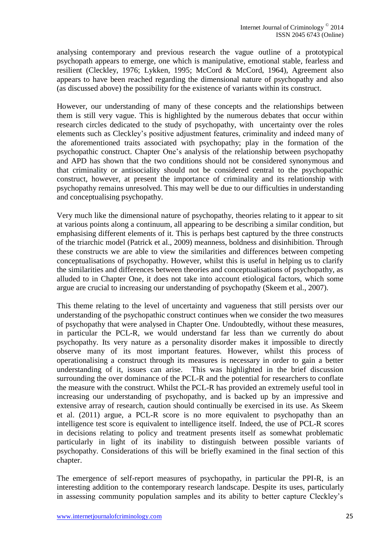analysing contemporary and previous research the vague outline of a prototypical psychopath appears to emerge, one which is manipulative, emotional stable, fearless and resilient (Cleckley, 1976; Lykken, 1995; McCord & McCord, 1964), Agreement also appears to have been reached regarding the dimensional nature of psychopathy and also (as discussed above) the possibility for the existence of variants within its construct.

However, our understanding of many of these concepts and the relationships between them is still very vague. This is highlighted by the numerous debates that occur within research circles dedicated to the study of psychopathy, with uncertainty over the roles elements such as Cleckley's positive adjustment features, criminality and indeed many of the aforementioned traits associated with psychopathy; play in the formation of the psychopathic construct. Chapter One's analysis of the relationship between psychopathy and APD has shown that the two conditions should not be considered synonymous and that criminality or antisociality should not be considered central to the psychopathic construct, however, at present the importance of criminality and its relationship with psychopathy remains unresolved. This may well be due to our difficulties in understanding and conceptualising psychopathy.

Very much like the dimensional nature of psychopathy, theories relating to it appear to sit at various points along a continuum, all appearing to be describing a similar condition, but emphasising different elements of it. This is perhaps best captured by the three constructs of the triarchic model (Patrick et al., 2009) meanness, boldness and disinhibition. Through these constructs we are able to view the similarities and differences between competing conceptualisations of psychopathy. However, whilst this is useful in helping us to clarify the similarities and differences between theories and conceptualisations of psychopathy, as alluded to in Chapter One, it does not take into account etiological factors, which some argue are crucial to increasing our understanding of psychopathy (Skeem et al., 2007).

This theme relating to the level of uncertainty and vagueness that still persists over our understanding of the psychopathic construct continues when we consider the two measures of psychopathy that were analysed in Chapter One. Undoubtedly, without these measures, in particular the PCL-R, we would understand far less than we currently do about psychopathy. Its very nature as a personality disorder makes it impossible to directly observe many of its most important features. However, whilst this process of operationalising a construct through its measures is necessary in order to gain a better understanding of it, issues can arise. This was highlighted in the brief discussion surrounding the over dominance of the PCL-R and the potential for researchers to conflate the measure with the construct. Whilst the PCL-R has provided an extremely useful tool in increasing our understanding of psychopathy, and is backed up by an impressive and extensive array of research, caution should continually be exercised in its use. As Skeem et al. (2011) argue, a PCL-R score is no more equivalent to psychopathy than an intelligence test score is equivalent to intelligence itself. Indeed, the use of PCL-R scores in decisions relating to policy and treatment presents itself as somewhat problematic particularly in light of its inability to distinguish between possible variants of psychopathy. Considerations of this will be briefly examined in the final section of this chapter.

The emergence of self-report measures of psychopathy, in particular the PPI-R, is an interesting addition to the contemporary research landscape. Despite its uses, particularly in assessing community population samples and its ability to better capture Cleckley's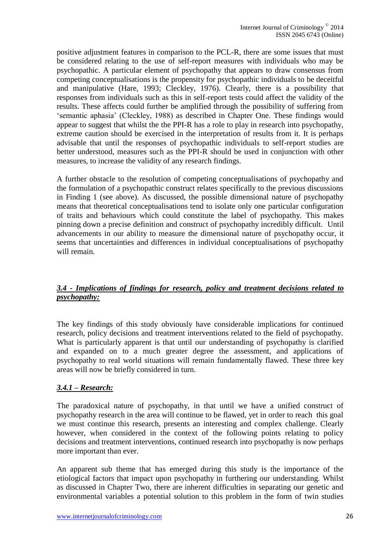positive adjustment features in comparison to the PCL-R, there are some issues that must be considered relating to the use of self-report measures with individuals who may be psychopathic. A particular element of psychopathy that appears to draw consensus from competing conceptualisations is the propensity for psychopathic individuals to be deceitful and manipulative (Hare, 1993; Cleckley, 1976). Clearly, there is a possibility that responses from individuals such as this in self-report tests could affect the validity of the results. These affects could further be amplified through the possibility of suffering from 'semantic aphasia' (Cleckley, 1988) as described in Chapter One. These findings would appear to suggest that whilst the the PPI-R has a role to play in research into psychopathy, extreme caution should be exercised in the interpretation of results from it. It is perhaps advisable that until the responses of psychopathic individuals to self-report studies are better understood, measures such as the PPI-R should be used in conjunction with other measures, to increase the validity of any research findings.

A further obstacle to the resolution of competing conceptualisations of psychopathy and the formulation of a psychopathic construct relates specifically to the previous discussions in Finding 1 (see above). As discussed, the possible dimensional nature of psychopathy means that theoretical conceptualisations tend to isolate only one particular configuration of traits and behaviours which could constitute the label of psychopathy. This makes pinning down a precise definition and construct of psychopathy incredibly difficult. Until advancements in our ability to measure the dimensional nature of psychopathy occur, it seems that uncertainties and differences in individual conceptualisations of psychopathy will remain.

### *3.4 - Implications of findings for research, policy and treatment decisions related to psychopathy:*

The key findings of this study obviously have considerable implications for continued research, policy decisions and treatment interventions related to the field of psychopathy. What is particularly apparent is that until our understanding of psychopathy is clarified and expanded on to a much greater degree the assessment, and applications of psychopathy to real world situations will remain fundamentally flawed. These three key areas will now be briefly considered in turn.

### *3.4.1 – Research:*

The paradoxical nature of psychopathy, in that until we have a unified construct of psychopathy research in the area will continue to be flawed, yet in order to reach this goal we must continue this research, presents an interesting and complex challenge. Clearly however, when considered in the context of the following points relating to policy decisions and treatment interventions, continued research into psychopathy is now perhaps more important than ever.

An apparent sub theme that has emerged during this study is the importance of the etiological factors that impact upon psychopathy in furthering our understanding. Whilst as discussed in Chapter Two, there are inherent difficulties in separating our genetic and environmental variables a potential solution to this problem in the form of twin studies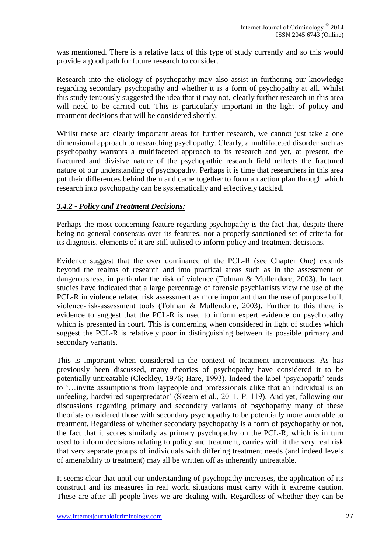was mentioned. There is a relative lack of this type of study currently and so this would provide a good path for future research to consider.

Research into the etiology of psychopathy may also assist in furthering our knowledge regarding secondary psychopathy and whether it is a form of psychopathy at all. Whilst this study tenuously suggested the idea that it may not, clearly further research in this area will need to be carried out. This is particularly important in the light of policy and treatment decisions that will be considered shortly.

Whilst these are clearly important areas for further research, we cannot just take a one dimensional approach to researching psychopathy. Clearly, a multifaceted disorder such as psychopathy warrants a multifaceted approach to its research and yet, at present, the fractured and divisive nature of the psychopathic research field reflects the fractured nature of our understanding of psychopathy. Perhaps it is time that researchers in this area put their differences behind them and came together to form an action plan through which research into psychopathy can be systematically and effectively tackled.

### *3.4.2 - Policy and Treatment Decisions:*

Perhaps the most concerning feature regarding psychopathy is the fact that, despite there being no general consensus over its features, nor a properly sanctioned set of criteria for its diagnosis, elements of it are still utilised to inform policy and treatment decisions.

Evidence suggest that the over dominance of the PCL-R (see Chapter One) extends beyond the realms of research and into practical areas such as in the assessment of dangerousness, in particular the risk of violence (Tolman & Mullendore, 2003). In fact, studies have indicated that a large percentage of forensic psychiatrists view the use of the PCL-R in violence related risk assessment as more important than the use of purpose built violence-risk-assessment tools (Tolman & Mullendore, 2003). Further to this there is evidence to suggest that the PCL-R is used to inform expert evidence on psychopathy which is presented in court. This is concerning when considered in light of studies which suggest the PCL-R is relatively poor in distinguishing between its possible primary and secondary variants.

This is important when considered in the context of treatment interventions. As has previously been discussed, many theories of psychopathy have considered it to be potentially untreatable (Cleckley, 1976; Hare, 1993). Indeed the label 'psychopath' tends to '…invite assumptions from laypeople and professionals alike that an individual is an unfeeling, hardwired superpredator' (Skeem et al., 2011, P. 119). And yet, following our discussions regarding primary and secondary variants of psychopathy many of these theorists considered those with secondary psychopathy to be potentially more amenable to treatment. Regardless of whether secondary psychopathy is a form of psychopathy or not, the fact that it scores similarly as primary psychopathy on the PCL-R, which is in turn used to inform decisions relating to policy and treatment, carries with it the very real risk that very separate groups of individuals with differing treatment needs (and indeed levels of amenability to treatment) may all be written off as inherently untreatable.

It seems clear that until our understanding of psychopathy increases, the application of its construct and its measures in real world situations must carry with it extreme caution. These are after all people lives we are dealing with. Regardless of whether they can be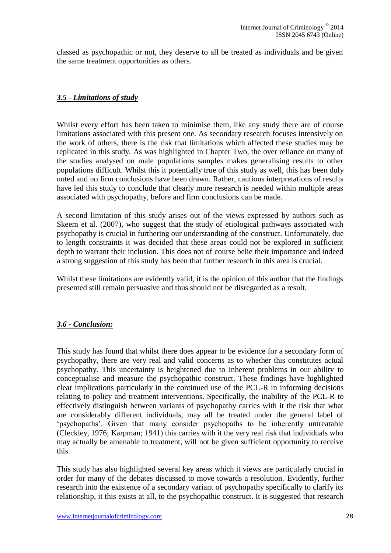classed as psychopathic or not, they deserve to all be treated as individuals and be given the same treatment opportunities as others.

### *3.5 - Limitations of study*

Whilst every effort has been taken to minimise them, like any study there are of course limitations associated with this present one. As secondary research focuses intensively on the work of others, there is the risk that limitations which affected these studies may be replicated in this study. As was highlighted in Chapter Two, the over reliance on many of the studies analysed on male populations samples makes generalising results to other populations difficult. Whilst this it potentially true of this study as well, this has been duly noted and no firm conclusions have been drawn. Rather, cautious interpretations of results have led this study to conclude that clearly more research is needed within multiple areas associated with psychopathy, before and firm conclusions can be made.

A second limitation of this study arises out of the views expressed by authors such as Skeem et al. (2007), who suggest that the study of etiological pathways associated with psychopathy is crucial in furthering our understanding of the construct. Unfortunately, due to length constraints it was decided that these areas could not be explored in sufficient depth to warrant their inclusion. This does not of course belie their importance and indeed a strong suggestion of this study has been that further research in this area is crucial.

Whilst these limitations are evidently valid, it is the opinion of this author that the findings presented still remain persuasive and thus should not be disregarded as a result.

### *3.6 - Conclusion:*

This study has found that whilst there does appear to be evidence for a secondary form of psychopathy, there are very real and valid concerns as to whether this constitutes actual psychopathy. This uncertainty is heightened due to inherent problems in our ability to conceptualise and measure the psychopathic construct. These findings have highlighted clear implications particularly in the continued use of the PCL-R in informing decisions relating to policy and treatment interventions. Specifically, the inability of the PCL-R to effectively distinguish between variants of psychopathy carries with it the risk that what are considerably different individuals, may all be treated under the general label of 'psychopaths'. Given that many consider psychopaths to be inherently untreatable (Cleckley, 1976; Karpman; 1941) this carries with it the very real risk that individuals who may actually be amenable to treatment, will not be given sufficient opportunity to receive this.

This study has also highlighted several key areas which it views are particularly crucial in order for many of the debates discussed to move towards a resolution. Evidently, further research into the existence of a secondary variant of psychopathy specifically to clarify its relationship, it this exists at all, to the psychopathic construct. It is suggested that research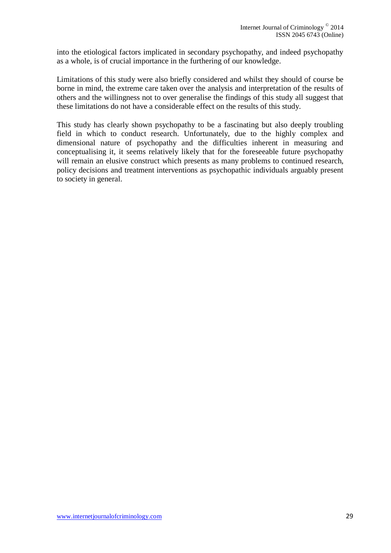into the etiological factors implicated in secondary psychopathy, and indeed psychopathy as a whole, is of crucial importance in the furthering of our knowledge.

Limitations of this study were also briefly considered and whilst they should of course be borne in mind, the extreme care taken over the analysis and interpretation of the results of others and the willingness not to over generalise the findings of this study all suggest that these limitations do not have a considerable effect on the results of this study.

This study has clearly shown psychopathy to be a fascinating but also deeply troubling field in which to conduct research. Unfortunately, due to the highly complex and dimensional nature of psychopathy and the difficulties inherent in measuring and conceptualising it, it seems relatively likely that for the foreseeable future psychopathy will remain an elusive construct which presents as many problems to continued research, policy decisions and treatment interventions as psychopathic individuals arguably present to society in general.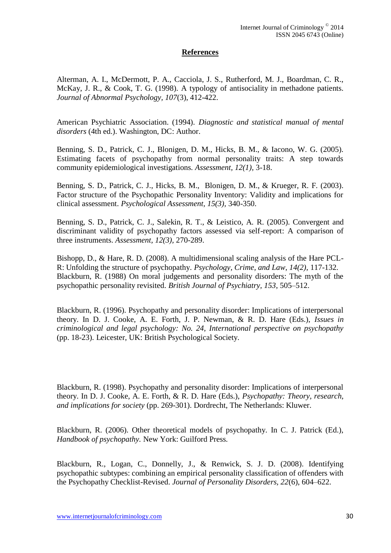#### **References**

Alterman, A. I., McDermott, P. A., Cacciola, J. S., Rutherford, M. J., Boardman, C. R., McKay, J. R., & Cook, T. G. (1998). A typology of antisociality in methadone patients. *Journal of Abnormal Psychology, 107*(3), 412-422.

American Psychiatric Association. (1994). *Diagnostic and statistical manual of mental disorders* (4th ed.). Washington, DC: Author.

Benning, S. D., Patrick, C. J., Blonigen, D. M., Hicks, B. M., & Iacono, W. G. (2005). Estimating facets of psychopathy from normal personality traits: A step towards community epidemiological investigations. *Assessment, 12(1),* 3-18.

Benning, S. D., Patrick, C. J., Hicks, B. M., Blonigen, D. M., & Krueger, R. F. (2003). Factor structure of the Psychopathic Personality Inventory: Validity and implications for clinical assessment. *Psychological Assessment, 15(3),* 340-350.

Benning, S. D., Patrick, C. J., Salekin, R. T., & Leistico, A. R. (2005). Convergent and discriminant validity of psychopathy factors assessed via self-report: A comparison of three instruments. *Assessment, 12(3),* 270-289.

Bishopp, D., & Hare, R. D. (2008). A multidimensional scaling analysis of the Hare PCL-R: Unfolding the structure of psychopathy. *Psychology, Crime, and Law, 14(2),* 117-132. Blackburn, R. (1988) On moral judgements and personality disorders: The myth of the psychopathic personality revisited. *British Journal of Psychiatry, 153*, 505–512.

Blackburn, R. (1996). Psychopathy and personality disorder: Implications of interpersonal theory. In D. J. Cooke, A. E. Forth, J. P. Newman, & R. D. Hare (Eds.), *Issues in criminological and legal psychology: No. 24, International perspective on psychopathy* (pp. 18-23). Leicester, UK: British Psychological Society.

Blackburn, R. (1998). Psychopathy and personality disorder: Implications of interpersonal theory. In D. J. Cooke, A. E. Forth, & R. D. Hare (Eds.), *Psychopathy: Theory, research, and implications for society* (pp. 269-301). Dordrecht, The Netherlands: Kluwer.

Blackburn, R. (2006). Other theoretical models of psychopathy. In C. J. Patrick (Ed.), *Handbook of psychopathy.* New York: Guilford Press.

Blackburn, R., Logan, C., Donnelly, J., & Renwick, S. J. D. (2008). Identifying psychopathic subtypes: combining an empirical personality classification of offenders with the Psychopathy Checklist-Revised. *Journal of Personality Disorders, 22*(6), 604–622.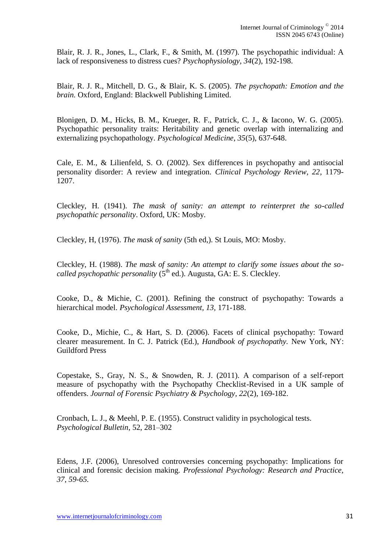Blair, R. J. R., Jones, L., Clark, F., & Smith, M. (1997). The psychopathic individual: A lack of responsiveness to distress cues? *Psychophysiology, 34*(2), 192-198.

Blair, R. J. R., Mitchell, D. G., & Blair, K. S. (2005). *The psychopath: Emotion and the brain.* Oxford, England: Blackwell Publishing Limited.

Blonigen, D. M., Hicks, B. M., Krueger, R. F., Patrick, C. J., & Iacono, W. G. (2005). Psychopathic personality traits: Heritability and genetic overlap with internalizing and externalizing psychopathology. *Psychological Medicine, 35*(5), 637-648.

Cale, E. M., & Lilienfeld, S. O. (2002). Sex differences in psychopathy and antisocial personality disorder: A review and integration. *Clinical Psychology Review, 22*, 1179- 1207.

Cleckley, H. (1941). *The mask of sanity: an attempt to reinterpret the so-called psychopathic personality*. Oxford, UK: Mosby.

Cleckley, H, (1976). *The mask of sanity* (5th ed,). St Louis, MO: Mosby.

Cleckley, H. (1988). *The mask of sanity: An attempt to clarify some issues about the socalled psychopathic personality* (5<sup>th</sup> ed.). Augusta, GA: E. S. Cleckley.

Cooke, D., & Michie, C. (2001). Refining the construct of psychopathy: Towards a hierarchical model. *Psychological Assessment, 13,* 171-188.

Cooke, D., Michie, C., & Hart, S. D. (2006). Facets of clinical psychopathy: Toward clearer measurement. In C. J. Patrick (Ed.), *Handbook of psychopathy.* New York, NY: Guildford Press

Copestake, S., Gray, N. S., & Snowden, R. J. (2011). A comparison of a self-report measure of psychopathy with the Psychopathy Checklist-Revised in a UK sample of offenders. *Journal of Forensic Psychiatry & Psychology, 22*(2), 169-182.

Cronbach, L. J., & Meehl, P. E. (1955). Construct validity in psychological tests. *Psychological Bulletin*, 52, 281–302

Edens, J.F. (2006), Unresolved controversies concerning psychopathy: Implications for clinical and forensic decision making. *Professional Psychology: Research and Practice, 37, 59-65.*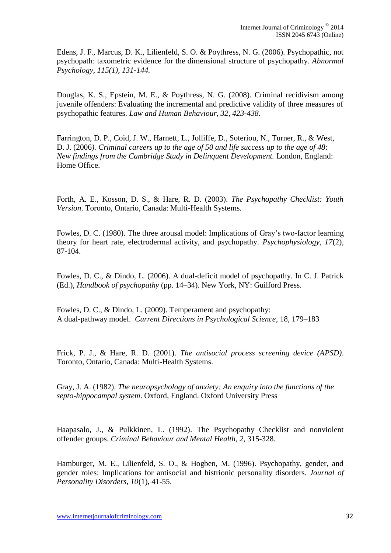Edens, J. F., Marcus, D. K., Lilienfeld, S. O. & Poythress, N. G. (2006). Psychopathic, not psychopath: taxometric evidence for the dimensional structure of psychopathy. *Abnormal Psychology, 115(1), 131-144.*

Douglas, K. S., Epstein, M. E., & Poythress, N. G. (2008). Criminal recidivism among juvenile offenders: Evaluating the incremental and predictive validity of three measures of psychopathic features. *Law and Human Behaviour, 32, 423-438.*

Farrington, D. P., Coid, J. W., Harnett, L., Jolliffe, D., Soteriou, N., Turner, R., & West, D. J. (2006*). Criminal careers up to the age of 50 and life success up to the age of 48*: *New findings from the Cambridge Study in Delinquent Development.* London, England: Home Office.

Forth, A. E., Kosson, D. S., & Hare, R. D. (2003). *The Psychopathy Checklist: Youth Version*. Toronto, Ontario, Canada: Multi-Health Systems.

Fowles, D. C. (1980). The three arousal model: Implications of Gray's two-factor learning theory for heart rate, electrodermal activity, and psychopathy. *Psychophysiology, 17*(2), 87-104.

Fowles, D. C., & Dindo, L. (2006). A dual-deficit model of psychopathy. In C. J. Patrick (Ed.), *Handbook of psychopathy* (pp. 14–34). New York, NY: Guilford Press.

Fowles, D. C., & Dindo, L. (2009). Temperament and psychopathy: A dual-pathway model. *Current Directions in Psychological Science*, 18, 179–183

Frick, P. J., & Hare, R. D. (2001). *The antisocial process screening device (APSD)*. Toronto, Ontario, Canada: Multi-Health Systems.

Gray, J. A. (1982). *The neuropsychology of anxiety: An enquiry into the functions of the septo-hippocampal system*. Oxford, England. Oxford University Press

Haapasalo, J., & Pulkkinen, L. (1992). The Psychopathy Checklist and nonviolent offender groups. *Criminal Behaviour and Mental Health, 2*, 315-328.

Hamburger, M. E., Lilienfeld, S. O., & Hogben, M. (1996). Psychopathy, gender, and gender roles: Implications for antisocial and histrionic personality disorders. *Journal of Personality Disorders, 10*(1), 41-55.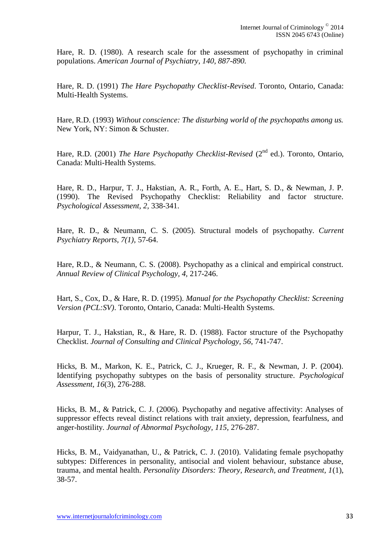Hare, R. D. (1980). A research scale for the assessment of psychopathy in criminal populations. *American Journal of Psychiatry, 140, 887-890.*

Hare, R. D. (1991) *The Hare Psychopathy Checklist-Revised*. Toronto, Ontario, Canada: Multi-Health Systems.

Hare, R.D. (1993) *Without conscience: The disturbing world of the psychopaths among us.*  New York, NY: Simon & Schuster.

Hare, R.D. (2001) *The Hare Psychopathy Checklist-Revised* (2<sup>nd</sup> ed.). Toronto, Ontario, Canada: Multi-Health Systems.

Hare, R. D., Harpur, T. J., Hakstian, A. R., Forth, A. E., Hart, S. D., & Newman, J. P. (1990). The Revised Psychopathy Checklist: Reliability and factor structure. *Psychological Assessment, 2,* 338-341.

Hare, R. D., & Neumann, C. S. (2005). Structural models of psychopathy. *Current Psychiatry Reports, 7(1),* 57-64.

Hare, R.D., & Neumann, C. S. (2008). Psychopathy as a clinical and empirical construct. *Annual Review of Clinical Psychology, 4,* 217-246.

Hart, S., Cox, D., & Hare, R. D. (1995). *Manual for the Psychopathy Checklist: Screening Version (PCL:SV)*. Toronto, Ontario, Canada: Multi-Health Systems.

Harpur, T. J., Hakstian, R., & Hare, R. D. (1988). Factor structure of the Psychopathy Checklist. *Journal of Consulting and Clinical Psychology, 56,* 741-747.

Hicks, B. M., Markon, K. E., Patrick, C. J., Krueger, R. F., & Newman, J. P. (2004). Identifying psychopathy subtypes on the basis of personality structure. *Psychological Assessment, 16*(3), 276-288.

Hicks, B. M., & Patrick, C. J. (2006). Psychopathy and negative affectivity: Analyses of suppressor effects reveal distinct relations with trait anxiety, depression, fearfulness, and anger-hostility. *Journal of Abnormal Psychology, 115,* 276-287.

Hicks, B. M., Vaidyanathan, U., & Patrick, C. J. (2010). Validating female psychopathy subtypes: Differences in personality, antisocial and violent behaviour, substance abuse, trauma, and mental health. *Personality Disorders: Theory, Research, and Treatment, 1*(1), 38-57.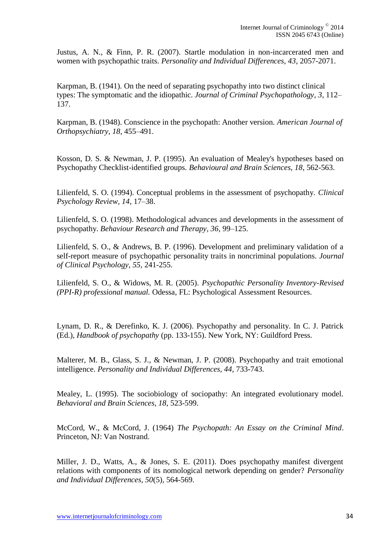Justus, A. N., & Finn, P. R. (2007). Startle modulation in non-incarcerated men and women with psychopathic traits. *Personality and Individual Differences, 43*, 2057-2071.

Karpman, B. (1941). On the need of separating psychopathy into two distinct clinical types: The symptomatic and the idiopathic. *Journal of Criminal Psychopathology, 3*, 112– 137.

Karpman, B. (1948). Conscience in the psychopath: Another version. *American Journal of Orthopsychiatry, 18*, 455–491.

Kosson, D. S. & Newman, J. P. (1995). An evaluation of Mealey's hypotheses based on Psychopathy Checklist-identified groups. *Behavioural and Brain Sciences, 18*, 562-563.

Lilienfeld, S. O. (1994). Conceptual problems in the assessment of psychopathy. *Clinical Psychology Review, 14*, 17–38.

Lilienfeld, S. O. (1998). Methodological advances and developments in the assessment of psychopathy. *Behaviour Research and Therapy, 36*, 99–125.

Lilienfeld, S. O., & Andrews, B. P. (1996). Development and preliminary validation of a self-report measure of psychopathic personality traits in noncriminal populations. *Journal of Clinical Psychology, 55,* 241-255.

Lilienfeld, S. O., & Widows, M. R. (2005). *Psychopathic Personality Inventory-Revised (PPI-R) professional manual.* Odessa, FL: Psychological Assessment Resources.

Lynam, D. R., & Derefinko, K. J. (2006). Psychopathy and personality. In C. J. Patrick (Ed.), *Handbook of psychopathy* (pp. 133-155). New York, NY: Guildford Press.

Malterer, M. B., Glass, S. J., & Newman, J. P. (2008). Psychopathy and trait emotional intelligence. *Personality and Individual Differences, 44*, 733-743.

Mealey, L. (1995). The sociobiology of sociopathy: An integrated evolutionary model. *Behavioral and Brain Sciences, 18*, 523-599.

McCord, W., & McCord, J. (1964) *The Psychopath: An Essay on the Criminal Mind*. Princeton, NJ: Van Nostrand.

Miller, J. D., Watts, A., & Jones, S. E. (2011). Does psychopathy manifest divergent relations with components of its nomological network depending on gender? *Personality and Individual Differences, 50*(5), 564-569.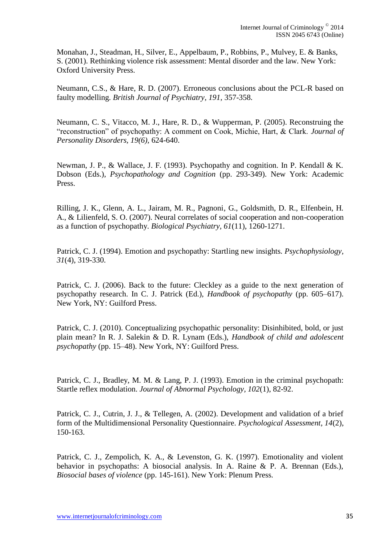Monahan, J., Steadman, H., Silver, E., Appelbaum, P., Robbins, P., Mulvey, E. & Banks, S. (2001). Rethinking violence risk assessment: Mental disorder and the law. New York: Oxford University Press.

Neumann, C.S., & Hare, R. D. (2007). Erroneous conclusions about the PCL-R based on faulty modelling. *British Journal of Psychiatry, 191,* 357-358.

Neumann, C. S., Vitacco, M. J., Hare, R. D., & Wupperman, P. (2005). Reconstruing the "reconstruction" of psychopathy: A comment on Cook, Michie, Hart, & Clark. *Journal of Personality Disorders, 19(6),* 624-640.

Newman, J. P., & Wallace, J. F. (1993). Psychopathy and cognition. In P. Kendall & K. Dobson (Eds.), *Psychopathology and Cognition* (pp. 293-349). New York: Academic Press.

Rilling, J. K., Glenn, A. L., Jairam, M. R., Pagnoni, G., Goldsmith, D. R., Elfenbein, H. A., & Lilienfeld, S. O. (2007). Neural correlates of social cooperation and non-cooperation as a function of psychopathy. *Biological Psychiatry, 61*(11), 1260-1271.

Patrick, C. J. (1994). Emotion and psychopathy: Startling new insights. *Psychophysiology, 31*(4), 319-330.

Patrick, C. J. (2006). Back to the future: Cleckley as a guide to the next generation of psychopathy research. In C. J. Patrick (Ed.), *Handbook of psychopathy* (pp. 605–617). New York, NY: Guilford Press.

Patrick, C. J. (2010). Conceptualizing psychopathic personality: Disinhibited, bold, or just plain mean? In R. J. Salekin & D. R. Lynam (Eds.), *Handbook of child and adolescent psychopathy* (pp. 15–48). New York, NY: Guilford Press.

Patrick, C. J., Bradley, M. M. & Lang, P. J. (1993). Emotion in the criminal psychopath: Startle reflex modulation. *Journal of Abnormal Psychology, 102*(1), 82-92.

Patrick, C. J., Cutrin, J. J., & Tellegen, A. (2002). Development and validation of a brief form of the Multidimensional Personality Questionnaire. *Psychological Assessment, 14*(2), 150-163.

Patrick, C. J., Zempolich, K. A., & Levenston, G. K. (1997). Emotionality and violent behavior in psychopaths: A biosocial analysis. In A. Raine & P. A. Brennan (Eds.), *Biosocial bases of violence* (pp. 145-161). New York: Plenum Press.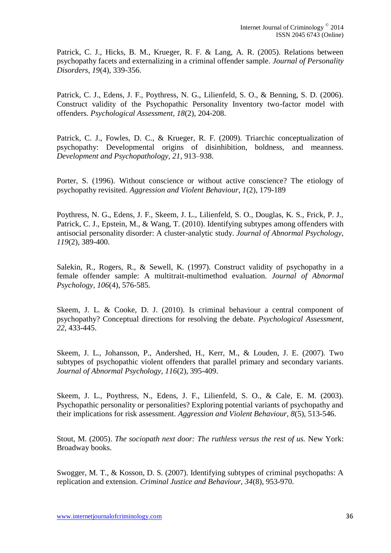Patrick, C. J., Hicks, B. M., Krueger, R. F. & Lang, A. R. (2005). Relations between psychopathy facets and externalizing in a criminal offender sample. *Journal of Personality Disorders, 19*(4), 339-356.

Patrick, C. J., Edens, J. F., Poythress, N. G., Lilienfeld, S. O., & Benning, S. D. (2006). Construct validity of the Psychopathic Personality Inventory two-factor model with offenders. *Psychological Assessment, 18*(2), 204-208.

Patrick, C. J., Fowles, D. C., & Krueger, R. F. (2009). Triarchic conceptualization of psychopathy: Developmental origins of disinhibition, boldness, and meanness. *Development and Psychopathology, 21*, 913–938.

Porter, S. (1996). Without conscience or without active conscience? The etiology of psychopathy revisited. *Aggression and Violent Behaviour, 1*(2), 179-189

Poythress, N. G., Edens, J. F., Skeem, J. L., Lilienfeld, S. O., Douglas, K. S., Frick, P. J., Patrick, C. J., Epstein, M., & Wang, T. (2010). Identifying subtypes among offenders with antisocial personality disorder: A cluster-analytic study. *Journal of Abnormal Psychology, 119*(2), 389-400.

Salekin, R., Rogers, R., & Sewell, K. (1997). Construct validity of psychopathy in a female offender sample: A multitrait-multimethod evaluation. *Journal of Abnormal Psychology, 106*(4), 576-585.

Skeem, J. L. & Cooke, D. J. (2010). Is criminal behaviour a central component of psychopathy? Conceptual directions for resolving the debate. *Psychological Assessment, 22,* 433-445.

Skeem, J. L., Johansson, P., Andershed, H., Kerr, M., & Louden, J. E. (2007). Two subtypes of psychopathic violent offenders that parallel primary and secondary variants. *Journal of Abnormal Psychology, 116*(2), 395-409.

Skeem, J. L., Poythress, N., Edens, J. F., Lilienfeld, S. O., & Cale, E. M. (2003). Psychopathic personality or personalities? Exploring potential variants of psychopathy and their implications for risk assessment. *Aggression and Violent Behaviour, 8*(5), 513-546.

Stout, M. (2005). *The sociopath next door: The ruthless versus the rest of us.* New York: Broadway books.

Swogger, M. T., & Kosson, D. S. (2007). Identifying subtypes of criminal psychopaths: A replication and extension. *Criminal Justice and Behaviour, 34*(8), 953-970.